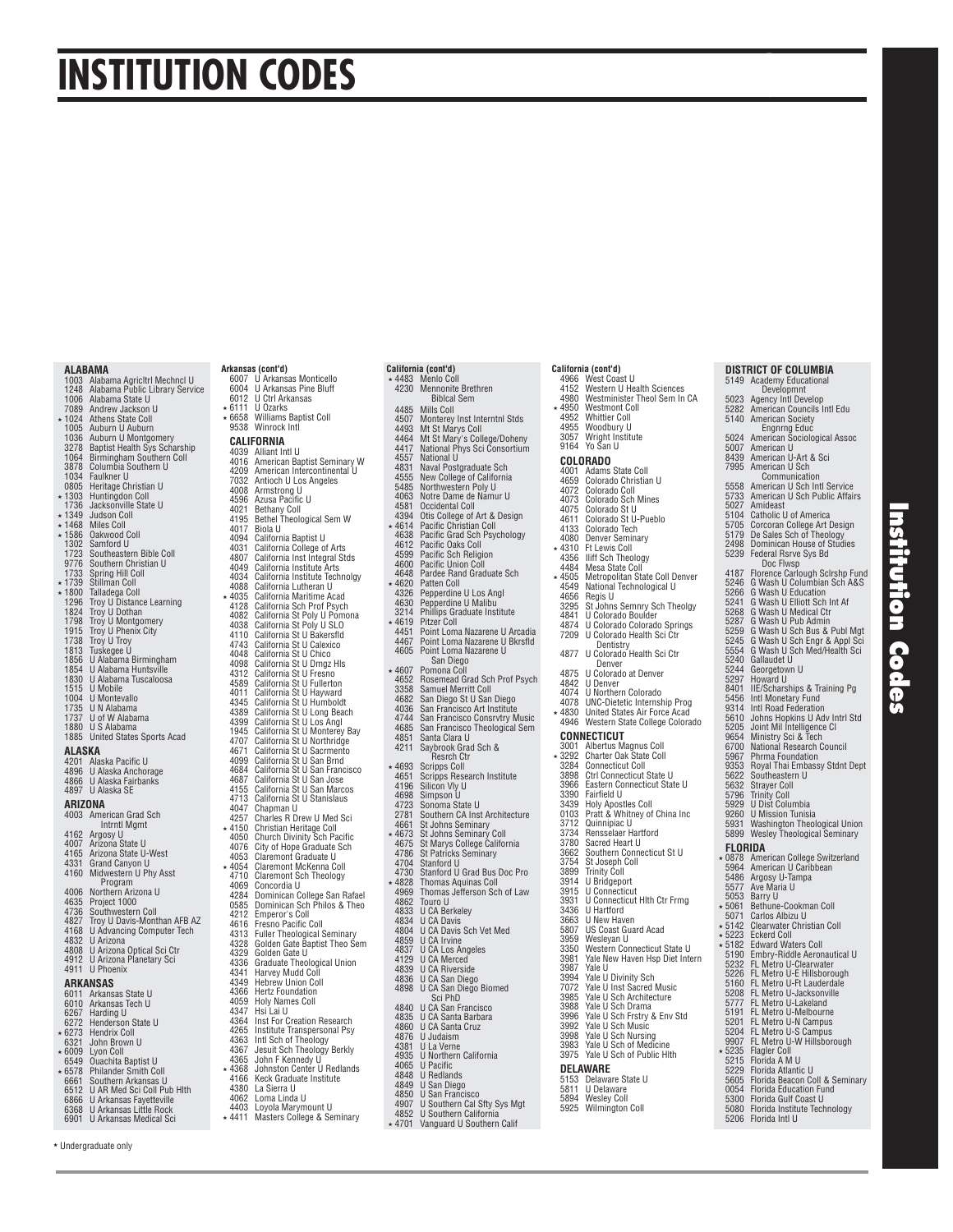# **INSTITUTION CODES**

## 1003 Alabama Agricltrl Mechncl U 1248 Alabama Public Library Service 1006 Alabama State U 7089 Andrew Jackson U 1024 Athens State Coll 1005 Auburn U Auburn 1036 Auburn U Montgomery 3278 Baptist Health Sys Scharship 1064 Birmingham Southern Coll 3878 Columbia Southern U

 **ALABAMA** 

1034 Faulkner U 0805 Heritage Christian U 1303 Huntingdon Coll 1736 Jacksonville State U \* 1349 Judson Coll<br>\* 1468 Miles Coll<br>\* 1586 Oakwood Co<br>1302 Samford U 1468 Miles Coll 1586 Oakwood Coll 1302 Samford U 1723 Southeastern Bible Coll 9776 Southern Christian U 1733 Spring Hill Coll<br>\* 1739 Stillman Coll \* 1739 Stillman Coll<br>\* 1800 Talladega Col 1800 Talladega Coll 1296 Troy U Distance Learning 1824 Troy U Dothan 1798 Troy U Montgomery 1915 Troy U Phenix City 1738 Troy U Troy 1813 Tuskegee U 1856 U Alabama Birmingham 1854 U Alabama Huntsville 1856 U Alabama Birminghan<br>1854 U Alabama Huntsville<br>1830 U Alabama Tuscaloosa<br>1515 U Mobile 1515 U Mobile 1004 U Montevallo<br>1735 U N Alahama 1735 U N Alabama<br>1737 U of W Alaba U of W Alabama 1880 U S Alabama 1885 United States Sports Acad  **ALASKA**  4201 Alaska Pacific U<br>4896 U Alaska Anchorage<br>4866 U Alaska Fairbanks 4897 U Alaska SE  **ARIZONA**  4003 American Grad Sch Intrntl Mgmt 4162 Argosy U 4007 Arizona State U 4165 Arizona State U-West 4331 Grand Canyon U 4160 Midwestern U Phy Asst Program 4006 Northern Arizona U<br>4635 Project 1000 4635 Project 1000 4736 Southwestern Coll 4827 Troy U Davis-Monthan AFB AZ

 4168 U Advancing Computer Tech 4832 U Arizona 4808 U Arizona Optical Sci Ctr 4912 U Arizona Planetary Sci 4911 U Phoenix

## **ARKANSAS**<br>
6011 Arkansas State U<br>
6010 Arkansas Tech U<br>
6267 Harding U<br>
6272 Henderson State U 6273 Hendrix Coll<br>6321 John Brown

- 6321 John Brown U 6009 Lyon Coll
- 6549 Ouachita Baptist U<br>6578 Philander Smith Co<br>6661 Southern Arkansas 6578 Philander Smith Coll 6661 Southern Arkansas U
- 6512 U AR Med Sci Coll Pub Hlth
- 6866 U Arkansas Fayetteville 6368 U Arkansas Little Rock 6901 U Arkansas Medical Sci
- 

#### **Arkansas (cont'd)** 6007 U Arkansas Monticello 6004 U Arkansas Pine Bluff

6012 U Ctrl Arkansas<br>6012 U Ctrl Arkansas  $*$  6111 U Ozarks

**California (cont'd)**

6658 Williams Baptist Coll 9538 Winrock Intl

### **CALIFORNIA**

 4039 Alliant Intl U 4016 American Baptist Seminary W 4209 American Intercontinental U 7032 Antioch U Los Angeles 4209 American International<br>7032 Antioch U Los<br>4008 Armstrong U<br>4596 Azusa Pacific<br>4021 Bethany Coll 4596 Azusa Pacific U<br>4021 Bethany Coll<br>4195 Bethel Theological Sem W 4017 Biola U<br>4094 Californ 4017 Biola o<br>4094 California Baptist U<br>4031 California College o 4031 California College of Arts 4807 California Inst Integral Stds 4049 California Institute Arts 4034 California Institute Technolgy<br>4088 California Lutheran U<br>4035 California Maritime Acad 4088 California Lutheran U 4035 California Maritime Acad 4128 California Sch Prof Psych 4082 California St Poly U Pomona 4038 California St Poly U SLO 4110 California St U Bakersfl d 4743 California St U Calexico<br>4048 California St U Chico 4048 California St U Chico 4098 California St U Dmgz Hls 4312 California St U Fresno 4589 California St U Fullerton<br>4011 California St U Hayward<br>4345 California St U Humbolc 4011 California St U Hayward 4345 California St U Humboldt 4389 California St U Long Beach 4399 California St U Los Angl 1945 California St U Monterey Bay 4707 California St U Northridge<br>4671 California St U Sacrmento 4671 California St U Sacrmento 4099 California St U San Brnd 4684 California St U San Francisco 4687 California St U San Jose 4155 California St U San Marcos 4713 California St U Stanislaus<br>4047 Chapman U<br>4257 Charles R Drew U Med Sc 4047 Chapman U 4257 Charles R Drew U Med Sci 4150 Christian Heritage Coll 4050 Church Divinity Sch Pacifi c 4076 City of Hope Graduate Sch 4053 Claremont Graduate U 4054 Claremont McKenna Coll 4710 Claremont Sch Theology 4069 Concordia U 4284 Dominican College San Rafael 0585 Dominican Sch Philos & Theo<br>4212 Emperor's Coll<br>4616 Fresno Pacific Coll 4212 Emperor's Coll<br>4616 Fresno Pacific Coll 4313 Fuller Theological Seminary 4328 Golden Gate Baptist Theo Sem 4329 Golden Gate U 4336 Graduate Theological Union<br>4341 Harvey Mudd Coll<br>4349 Hebrew Union Coll 4341 Harvey Mudd Coll 4349 Hebrew Union Coll 4366 Hertz Foundation<br>4059 Holy Names Coll<br>4347 Hsi Lai U 4059 Holy Names Coll 4347 Hsi Lai U 4364 Inst For Creation Research 4265 Institute Transpersonal Psy 4363 Intl Sch of Theology 4367 Jesuit Sch Theology Berkly 4365 John F Kennedy U 4368 Johnston Center U Redlands 4166 Keck Graduate Institute 4380 La Sierra U 4166 Keck Graduate<br>4380 La Sierra U<br>4062 Loma Linda U 4403 Loyola Marymount U 4411 Masters College & Seminary

|         |                | California (cont'd)                                                                                                         |
|---------|----------------|-----------------------------------------------------------------------------------------------------------------------------|
|         |                | * 4483 Menlo Coll<br>4230 Mennonite Brethren                                                                                |
|         |                | <b>Biblcal Sem</b>                                                                                                          |
|         |                | Mills Coll                                                                                                                  |
|         | 4485<br>4507   | Monterey Inst Interntnl Stds                                                                                                |
|         | 4493           | Mt St Marys Coll<br>Mt St Mary's College/Doheny                                                                             |
|         | 4464           |                                                                                                                             |
|         | 4417<br>4557   | National Phys Sci Consortium<br>National U                                                                                  |
|         | 4831           | Naval Postgraduate Sch                                                                                                      |
|         | 4555           | New College of California                                                                                                   |
|         | 5485<br>4063   | Northwestern Poly U<br>Notre Dame de Namur U                                                                                |
|         |                | Occidental Coll                                                                                                             |
|         | 4581<br>4394   | Otis College of Art & Design                                                                                                |
| $\star$ | 4614           | Pacific Christian Coll<br>Pacific Christian Coll<br>Pacific Grad Sch Psychology<br>Pacific Caks Coll<br>Pacific Union Coll  |
|         | 4638           |                                                                                                                             |
|         | 4612           |                                                                                                                             |
|         | 4599<br>4600   |                                                                                                                             |
|         |                |                                                                                                                             |
|         | 4648<br>4620   | Pardee Rand Graduate Sch<br>Patten Coll                                                                                     |
|         | 4326<br>4630   | Pepperdine U Los Angl<br>Pepperdine U Malibu                                                                                |
|         | 3214           |                                                                                                                             |
|         | $*4619$        | Phillips Graduate Institute<br>Pitzer Coll                                                                                  |
|         | 4451           | Point Loma Nazarene U Arcadia                                                                                               |
|         | 4467           | Point Loma Nazarene U Bkrsfld                                                                                               |
|         | 4605           | Point Loma Nazarene U<br>San Diego                                                                                          |
|         | * 4607         | Pomona Coll                                                                                                                 |
|         | 4652           | Rosemead Grad Sch Prof Psych                                                                                                |
|         | 3358           | Samuel Merritt Coll                                                                                                         |
|         | 4682<br>4036   | San Diego St U San Diego<br>San Francisco Art Institute                                                                     |
|         | 4744           |                                                                                                                             |
|         | 4685           | San Francisco Consrvtry Music<br>San Francisco Theological Sem                                                              |
|         | 4851<br>4211   | Santa Clara U                                                                                                               |
|         |                | Saybrook Grad Sch &<br>Resrch Ctr                                                                                           |
|         | * 4693         | Scripps Coll<br>Scripps Research Institute<br>Silicon Vly U<br>Simpson U<br>Sonoma State U                                  |
|         | 4651           |                                                                                                                             |
|         | 4196<br>4698   |                                                                                                                             |
|         | 4723           |                                                                                                                             |
|         | 2781           | Southern CA Inst Architecture<br>St Johns Seminary                                                                          |
|         | 4661           |                                                                                                                             |
|         | * 4673         | St Johns Seminary Coll<br>St Johns Seminary Coll<br>St Patricks Seminary                                                    |
|         | 4675<br>4786   |                                                                                                                             |
|         | 4704<br>4730   | Stanford U<br>Stanford U Grad Bus Doc Pro                                                                                   |
|         |                |                                                                                                                             |
|         | * 4828<br>4969 | Thomas Aquinas Coll<br>Thomas Jefferson Sch of Law                                                                          |
|         | 4862           | Touro U                                                                                                                     |
|         | 4833           | U CA Berkeley                                                                                                               |
|         | 4834<br>4804   |                                                                                                                             |
|         |                |                                                                                                                             |
|         | 4859<br>4837   |                                                                                                                             |
|         | 4129           | U CA Davis<br>U CA Davis Sch Vet Med<br>U CA Irvine<br>U CA Los Angeles<br>U CA Riverside<br>U CA Riverside<br>CA Sch Digge |
|         | 4839<br>4836   | U CA San Diego                                                                                                              |
|         | 4898           | U CA San Diego Biomed                                                                                                       |
|         |                | Sci PhD                                                                                                                     |
|         | 4840           | U CA San Francisco<br>U CA Santa Barbara<br>U CA Santa Cruz                                                                 |
|         | 4835<br>4860   |                                                                                                                             |
|         | 4876           |                                                                                                                             |
|         | 4381           | U Judaism<br>U La Verne<br>U Northern California                                                                            |
|         | 4935<br>4065   |                                                                                                                             |
|         | 4848           | U Pacific<br><b>U</b> Redlands                                                                                              |
|         | 4849           |                                                                                                                             |
|         | 4850<br>4907   | U San Diego<br>U San Francisco                                                                                              |
|         | 4852           |                                                                                                                             |
|         | * 4701         | U Southern Cal Sfty Sys Mgt<br>U Southern California<br>Vanguard U Southern Calif                                           |

|                   | California (cont'd)                                            |  |  |  |
|-------------------|----------------------------------------------------------------|--|--|--|
| 4966<br>4152      | West Coast U<br>Western U Health Sciences                      |  |  |  |
| 4980              | Westminister Theol Sem In CA                                   |  |  |  |
| * 4950            | <b>Westmont Coll</b>                                           |  |  |  |
| 4952<br>4955      | <b>Whittier Coll</b><br>Woodbury U                             |  |  |  |
| 3057              | Wright Institute<br>Yo San U                                   |  |  |  |
| 9164              |                                                                |  |  |  |
|                   | COLORADO                                                       |  |  |  |
| 4001<br>4659      | Adams State Coll<br>Colorado Christian U                       |  |  |  |
| 4072              | Colorado Coll                                                  |  |  |  |
| 4073<br>4075      | Colorado Sch Mines                                             |  |  |  |
| 4611              | Colorado St U<br>Colorado St U-Pueblo<br>Colorado Tech         |  |  |  |
| 4133              |                                                                |  |  |  |
| 4080              | <b>Denver Seminary</b>                                         |  |  |  |
| * 4310<br>4356    | Ft Lewis Coll<br>Iliff Sch Theology                            |  |  |  |
| 4484              | Mesa State Coll                                                |  |  |  |
| 4505<br>4549      | Metropolitan State Coll Denver<br>National Technological U     |  |  |  |
| 4656              | Regis U                                                        |  |  |  |
| 3295<br>4841      | St Johns Semnry Sch Theolgy<br>U Colorado Boulder              |  |  |  |
| 4874              | U Colorado Colorado Springs                                    |  |  |  |
| 7209              | U Colorado Health Sci Ctr                                      |  |  |  |
| 4877              | Dentistry<br>U Colorado Health Sci Ctr<br>Denver               |  |  |  |
| 4875<br>4842      | U Colorado at Denver                                           |  |  |  |
| 4074              | <b>U</b> Denver<br>U Northern Colorado                         |  |  |  |
| 4078              | <b>UNC-Dietetic Internship Prog</b>                            |  |  |  |
| 4830              | United States Air Force Acad                                   |  |  |  |
| 4946              | Western State College Colorado                                 |  |  |  |
| 3001              | CONNECTICUT<br>Albertus Magnus Coll                            |  |  |  |
| 3292              | Charter Oak State Coll                                         |  |  |  |
| 3284              | <b>Connecticut Coll</b>                                        |  |  |  |
| 3898<br>3966      | <b>Ctrl Connecticut State U</b><br>Eastern Connecticut State U |  |  |  |
| 3390              | Fairfield U                                                    |  |  |  |
| 3439<br>0103      | <b>Holy Apostles Coll</b><br>Pratt & Whitney of China Inc      |  |  |  |
| 3712              | Quinnipiac U                                                   |  |  |  |
| 3734              | Rensselaer Hartford                                            |  |  |  |
| -<br>3780<br>3662 | Sacred Heart U<br>Southern Connecticut St U                    |  |  |  |
| 3754              | St Joseph Coll<br>Trinity Coll                                 |  |  |  |
| 3899<br>3914      | U Bridgeport                                                   |  |  |  |
| 3915              | <b>U</b> Connecticut                                           |  |  |  |
| 3931<br>3436      | U Connecticut HIth Ctr Frmg                                    |  |  |  |
| 3663              | U Hartford<br>U New Haven                                      |  |  |  |
| 5807              | <b>US Coast Guard Acad</b>                                     |  |  |  |
| 3959              | Wesleyan U<br>Western Connecticut State U                      |  |  |  |
| 3350<br>3981      | Yale New Haven Hsp Diet Intern                                 |  |  |  |
| 3987<br>3994      | Yale U<br>Yale U Divinity Sch                                  |  |  |  |
| 7072              |                                                                |  |  |  |
| 3985              | Yale U Inst Sacred Music<br>Yale U Sch Architecture            |  |  |  |
| 3988<br>3996      | Yale U Sch Drama<br>Yale U Sch Frstry & Env Std                |  |  |  |
| 3992              | Yale U Sch Music                                               |  |  |  |
| 3998<br>3983      | Yale U Sch Nursing                                             |  |  |  |
| 3975              | Yale U Sch of Medicine<br>Yale U Sch of Public Hith            |  |  |  |
|                   | DELAWARE                                                       |  |  |  |
| 5153              | Delaware State U                                               |  |  |  |
| 5811              | U Delaware<br><b>Wesley Coll</b>                               |  |  |  |
| 5894<br>5925      | <b>Wilmington Coll</b>                                         |  |  |  |

#### **DISTRICT OF COLUMBIA**

|         | 5149         | Academy Educational                                                                                                                                                                                                                 |
|---------|--------------|-------------------------------------------------------------------------------------------------------------------------------------------------------------------------------------------------------------------------------------|
|         |              | Developmnt<br>Agency Intl Develop                                                                                                                                                                                                   |
|         | 5023<br>5282 | American Councils Intl Edu                                                                                                                                                                                                          |
|         | 5140         | <b>American Society</b>                                                                                                                                                                                                             |
|         | 5024         | <b>Engnrng Educ</b><br>American Sociological Assoc                                                                                                                                                                                  |
|         | 5007         | American U                                                                                                                                                                                                                          |
|         | 8439         | American U-Art & Sci                                                                                                                                                                                                                |
|         | 7995         | American U Sch<br>Communication                                                                                                                                                                                                     |
|         | 5558         | American U Sch Intl Service                                                                                                                                                                                                         |
|         | 5733         | American U Sch Public Affairs                                                                                                                                                                                                       |
|         | 5027         | Amideast                                                                                                                                                                                                                            |
|         | 5104<br>5705 | Catholic U of America<br>Corcoran College Art Design                                                                                                                                                                                |
|         | 5179         | De Sales Sch of Theology                                                                                                                                                                                                            |
|         | 2498         | Dominican House of Studies                                                                                                                                                                                                          |
|         | 5239         | Federal Rsrve Sys Bd<br>Doc Flwsp                                                                                                                                                                                                   |
|         | 4187         | Florence Carlough Scirshp Fund<br>G Wash U Columbian Sch A&S<br>G Wash U Education<br>G Wash U Elliott Sch Int Af<br>G Wash U Medical Ctr<br>G Wash U Medical Ctr<br>G Wash U Pub Admin<br>C Wash U Pub Admin<br>C Wash U Pub Admin |
|         | 5246         |                                                                                                                                                                                                                                     |
|         | 5266<br>5241 |                                                                                                                                                                                                                                     |
|         | 5268         |                                                                                                                                                                                                                                     |
|         | 5287         |                                                                                                                                                                                                                                     |
|         | 5259         | G Wash U Sch Bus & Publ Mgt<br>G Wash U Sch Engr & Appl Sci                                                                                                                                                                         |
|         | 5245<br>5554 | G Wash U Sch Med/Health Sci                                                                                                                                                                                                         |
|         | 5240         | Gallaudet U                                                                                                                                                                                                                         |
|         | 5244         | Georgetown U                                                                                                                                                                                                                        |
|         | 5297         | Howard U                                                                                                                                                                                                                            |
|         | 8401<br>5456 | IIE/Scharships & Training Pg<br>Intl Monetary Fund                                                                                                                                                                                  |
|         | 9314         | Intl Road Federation                                                                                                                                                                                                                |
|         | 5610         | Johns Hopkins U Adv Intrl Std                                                                                                                                                                                                       |
|         | 5205<br>9654 | Joint Mil Intelligence Cl                                                                                                                                                                                                           |
|         | 6700         | Ministry Sci & Tech<br>National Research Council                                                                                                                                                                                    |
|         | 5967         | Phrma Foundation                                                                                                                                                                                                                    |
|         | 9353<br>5622 | Royal Thai Embassy Stdnt Dept<br>Southeastern U                                                                                                                                                                                     |
|         | 5632         | Strayer Coll                                                                                                                                                                                                                        |
|         | 5796         | Trinity Coll<br>U Dist Columbia                                                                                                                                                                                                     |
|         | 5929<br>9260 |                                                                                                                                                                                                                                     |
|         | 5931         | <b>U Mission Tunisia</b><br>Washington Theological Union                                                                                                                                                                            |
|         | 5899         | <b>Wesley Theological Seminary</b>                                                                                                                                                                                                  |
|         | FLORIDA      |                                                                                                                                                                                                                                     |
|         | 0878         | American College Switzerland                                                                                                                                                                                                        |
|         | 5964<br>5486 | American U Caribbean<br>Argosy U-Tampa                                                                                                                                                                                              |
|         | 5577         | Ave Maria U                                                                                                                                                                                                                         |
|         | 5053         | Barry U                                                                                                                                                                                                                             |
| $\star$ | 5061<br>5071 | Bethune-Cookman Coll<br>Carlos Albizu U                                                                                                                                                                                             |
|         | $* 5142$     | <b>Clearwater Christian Coll</b>                                                                                                                                                                                                    |
|         | $*5223$      | <b>Eckerd Coll</b>                                                                                                                                                                                                                  |
|         | 5182<br>5190 | <b>Edward Waters Coll</b><br>Embry-Riddle Aeronautical U                                                                                                                                                                            |
|         |              |                                                                                                                                                                                                                                     |
|         | 5232<br>5226 |                                                                                                                                                                                                                                     |
|         | 5160<br>5208 |                                                                                                                                                                                                                                     |
|         | 5777         | Elimity Finland Reformation<br>FL Metro U-E Hillsborough<br>FL Metro U-E Hillsborough<br>FL Metro U-Jacksland<br>FL Metro U-Lakeland<br>FL Metro U-N Campus<br>FL Metro U-N Campus<br>FL Metro U-N Campus<br>FL Metro U-N Campus    |
|         | 5191         |                                                                                                                                                                                                                                     |
|         | 5201         |                                                                                                                                                                                                                                     |
|         | 5204<br>9907 | FL Metro U-S Campus<br>FL Metro U-W Hillsborough                                                                                                                                                                                    |
|         | 5235         | <b>Flagler Coll</b>                                                                                                                                                                                                                 |
|         | 5215         | Florida A M U                                                                                                                                                                                                                       |
|         | 5229         | Florida Atlantic U                                                                                                                                                                                                                  |

**Institution Codes**

nstitution Codes

- 5605 Florida Beacon Coll & Seminary
- **Florida Education Fund**
- 5300 Florida Gulf Coast U 5080 Florida Institute Technology 5206 Florida Intl U
	-

Undergraduate only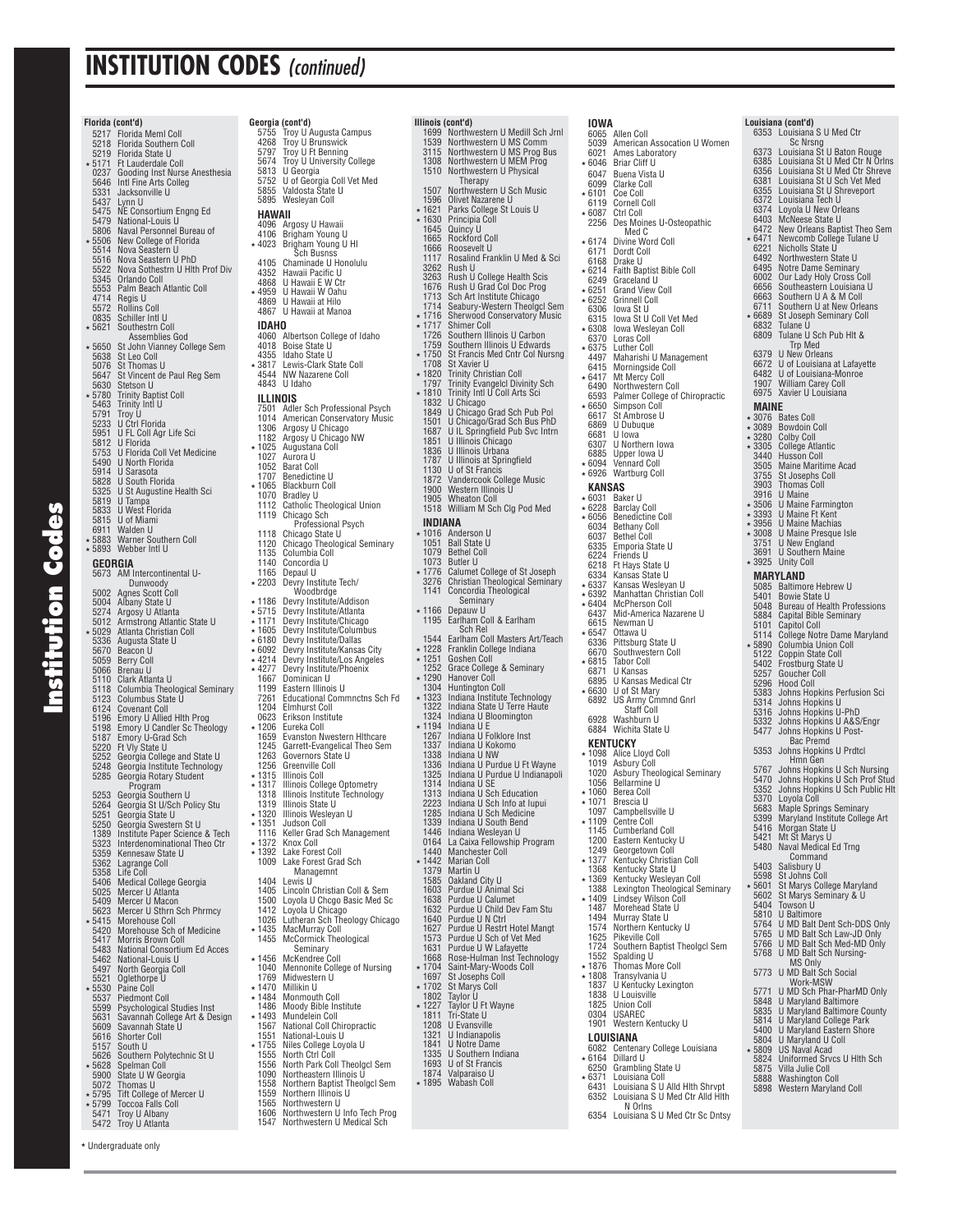|                  | Florida (cont'd)                                                  | Geor                                     |
|------------------|-------------------------------------------------------------------|------------------------------------------|
| 5217<br>5218     | Florida Meml Coll<br>Florida Southern Coll                        | 57<br>42                                 |
| 5219             | Florida State U                                                   | 57                                       |
| 5171             | Ft Lauderdale Coll                                                | 56<br>58                                 |
| 0237<br>5646     | Gooding Inst Nurse Anesthesia<br>Intl Fine Arts Colleg            | 57                                       |
| 5331<br>5437     | Jacksonville U                                                    | 58<br>58                                 |
| 5475             | Lynn U<br>NE Consortium Engng Ed                                  | н                                        |
| 5479             | National-Louis U                                                  | 40                                       |
| 5806<br>5506     | Naval Personnel Bureau of<br>New College of Florida               | 41<br>* 40                               |
| 5514             | Nova Seastern U                                                   |                                          |
| 5516<br>5522     | Nova Seastern U PhD<br>Nova Sothestrn U Hith Prof Div             | 41<br>43                                 |
| 5345<br>5553     | Orlando Coll                                                      | 48                                       |
| 4714             | Palm Beach Atlantic Coll<br>Regis U                               | * 49<br>48                               |
| 5572<br>0835     | <b>Rollins Coll</b>                                               | 48                                       |
| 5621             | Schiller Intl U<br>Southestrn Coll                                | ID                                       |
| $\star 5650$     | Assemblies God                                                    | 40<br>40                                 |
| 5638             | St John Vianney College Sem<br>St Leo Coll                        | 43                                       |
| 5076<br>5647     | St Thomas U                                                       | $*38$<br>45                              |
| 5630             | St Vincent de Paul Reg Sem<br>Stetson U                           | 48                                       |
| 5780<br>5463     | <b>Trinity Baptist Coll</b><br>Trinity Intl U                     | IL                                       |
| 5791             | Troy U                                                            | 75<br>10                                 |
| 5233<br>5951     | U Ctrl Florida<br>U FL Coll Agr Life Sci                          | 13                                       |
| 5812             | U Florida                                                         | 11<br>10                                 |
| 5753<br>5490     | U Florida Coll Vet Medicine<br><b>U North Florida</b>             | 10                                       |
| 5914             | U Sarasota                                                        | 10<br>17                                 |
| 5828<br>5325     | U South Florida<br>U St Augustine Health Sci                      | 10                                       |
| 5819             | U<br>Tampa                                                        | 10<br>11                                 |
| 5833<br>5815     | U West Florida<br>U of Miami                                      | 11                                       |
| 6911             | Walden U                                                          | 11                                       |
| 5883<br>∗ 5893   | <b>Warner Southern Coll</b><br>Webber Intl U                      | 11                                       |
|                  | GEORGIA                                                           | 11<br>11                                 |
| 5673             | AM Intercontinental U-                                            | 11                                       |
| 5002             | Dunwoody<br>Agnes Scott Coll                                      | 22                                       |
| 5004             | Albany State U<br>Argosy U Atlanta                                | * 11<br>* 57                             |
| 5274<br>5012     | Armstrong Atlantic State U                                        | * 11                                     |
| 5029<br>5336     | Atlanta Christian Coll<br>Augusta State U                         | $*16$<br>* 61                            |
| 5670             | Beacon U                                                          | ∗ 60                                     |
| 5059<br>5066     | Berry Coll<br>Brenau U                                            | * 42<br>$*42$                            |
| 5110<br>5118     | Clark Atlanta U<br>Columbia Theological Seminary                  | 16<br>11                                 |
| 5123             | Columbus State U                                                  | 72                                       |
| 6124<br>5196     | <b>Covenant Coll</b><br>Emory U Allied Hlth Prog                  | 12<br>06                                 |
| 5198             |                                                                   | 12                                       |
| 5187<br>5220     | Emory U Candler Sc Theology<br>Emory U-Grad Sch<br>Ft Vly State U | 16<br>12                                 |
| 5252             | Georgia College and State U                                       | 12                                       |
| 5248<br>5285     | Georgia Institute Technology<br>Georgia Rotary Student            | 12                                       |
|                  | Program                                                           | $*13$<br>$*13$<br>$13$<br>$*13$<br>$*13$ |
| 5253<br>5264     | Georgia Southern U<br>Georgia St U/Sch Policy Stu                 |                                          |
| 5251             | Georgia State U                                                   |                                          |
| 5250<br>1389     | Georgia Swestern St U<br>Institute Paper Science & Tech           | ∗ 13<br>11                               |
| 5323             | Interdenominational Theo Ctr                                      | * 13                                     |
| 5359<br>5362     | Kennesaw State U<br>Lagrange Coll                                 | $\star$ 13<br>10                         |
| 5358             | Life Coll                                                         | 14                                       |
| 5406<br>5025     | Medical College Georgia                                           | 14                                       |
| 5409<br>5623     | Mercer U Atlanta<br>Mercer U Macon<br>Mercer U Sthrn Sch Phrmcy   | 15<br>14                                 |
| 5415             | Morehouse Coll                                                    | 10                                       |
| 5420             | Morehouse Sch of Medicine                                         | 14<br>14                                 |
| 5417<br>5483     | <b>Morris Brown Coll</b><br>National Consortium Ed Acces          |                                          |
| 5462<br>5497     | National-Louis U<br>North Georgia Coll                            | $*14$<br>10                              |
| 5521             | Oglethorpe U                                                      | 17                                       |
| 5530<br>5537     | Paine Coll<br><b>Piedmont Coll</b>                                | 14<br>: 14                               |
| 5599             | <b>Psychological Studies Inst</b>                                 | 14                                       |
| 5631<br>5609     | Savannah College Art & Design<br>Savannah State U                 | 14<br>15                                 |
| 5616             | <b>Shorter Coll</b>                                               | 15                                       |
| 5157<br>5626     | South U<br>Southern Polytechnic St U                              | * 17<br>15                               |
| $*5628$          | Spelman Coll                                                      | 15<br>10                                 |
| 5900<br>5072     | State U W Georgia<br>Thomas U                                     | $\frac{15}{15}$                          |
| ∗ 5795<br>∗ 5799 | Tift College of Mercer U<br>Toccoa Falls Coll                     | 15                                       |
| 5.171            | Troy II Albany                                                    | 16                                       |

**Institution Codes**

**Institution Codes** 

Undergraduate only

|                  | Georgia (cont'd)                                            | ı |
|------------------|-------------------------------------------------------------|---|
| 5755             | Troy U Augusta Campus                                       |   |
| 4268<br>5797     | Troy U Brunswick<br>Troy U Ft Benning                       |   |
| 5674             | Troy U University College                                   |   |
| 5813<br>5752     | U Georgia                                                   |   |
| 5855             | U of Georgia Coll Vet Med<br>Valdosta State U               |   |
| 5895             | Wesleyan Coll                                               |   |
| HAWAII           |                                                             |   |
| 4096<br>4106     | Argosy U Hawaii<br>Brigham Young U                          |   |
| * 4023           | Brigham Young U HI                                          |   |
|                  | Sch Busnss                                                  |   |
| 4105<br>4352     | Chaminade U Honolulu<br>Hawaii Pacific U                    |   |
| 4868             | U Hawaii E W Ctr                                            |   |
| * 4959<br>4869   | U Hawaii W Oahu<br>U Hawaii at Hilo                         |   |
| 4867             | U Hawaii at Manoa                                           |   |
| IDAHO            |                                                             |   |
| 4060             | Albertson College of Idaho<br>Boise State U                 |   |
| 4018<br>4355     | Idaho State U                                               |   |
| ∗3817            | Lewis-Clark State Coll                                      |   |
| 4544<br>4843     | NW Nazarene Coll<br>U Idaho                                 |   |
| ILLINOIS         |                                                             |   |
| 7501             | Adler Sch Professional Psych                                |   |
| 1014             | American Conservatory Music                                 |   |
| 1306<br>1182     | Argosy U Chicago<br>Argosy U Chicago NW                     |   |
| 1025             | Augustana Coll                                              |   |
| 1027<br>1052     | Aurora U<br><b>Barat Coll</b>                               |   |
| 1707             | Benedictine U                                               |   |
| 1065<br>1070     | <b>Blackburn Coll</b><br><b>Bradley U</b>                   |   |
| 1112             | Catholic Theological Union                                  |   |
| 1119             | Chicago Sch                                                 |   |
| 1118             | Professional Psych                                          | ì |
| 1120             | Chicago State U<br>Chicago Theological Seminary             |   |
| 1135<br>1140     | Columbia Coll<br>Concordia U                                |   |
| 1165             | Depaul U                                                    | ì |
| * 2203           | Devry Institute Tech/<br>Woodbrdge                          |   |
| * 1186           | Devry Institute/Addison                                     |   |
| ∗ 5715<br>∗ 1171 | Devry Institute/Atlanta                                     | ì |
| * 1605           | Devry Institute/Chicago<br>Devry Institute/Columbus         |   |
| * 6180           | Devry Institute/Dallas                                      |   |
| ∗ 6092<br>* 4214 | Devry Institute/Kansas City<br>Devry Institute/Los Angeles  |   |
| * 4277           | Devry Institute/Phoenix                                     |   |
| 1667<br>1199     | Dominican U<br>Eastern Illinois U                           |   |
| 7261             | <b>Educational Commnctns Sch Fd</b>                         |   |
| 1204<br>0623     | <b>Elmhurst Coll</b><br>Erikson Institute                   |   |
| 1206             | Eureka Coll                                                 | ì |
| 1659             | Evanston Nwestern Hithcare<br>Garrett-Evangelical Theo Sem  |   |
| 1245<br>1263     | Governors State U                                           |   |
| 1256             | Greenville Coll                                             |   |
| 1315<br>1317     | <b>Illinois Coll</b><br>Illinois College Optometry          |   |
| 1318             | Illinois Institute Technology                               |   |
| 1319<br>∗ 1320   | Illinois State U<br>Illinois Wesleyan U                     |   |
| ∗ 1351           | Judson Coll                                                 |   |
| 1116<br>* 1372   | Keller Grad Sch Management<br>Knox Coll                     |   |
| * 1392           | Lake Forest Coll                                            |   |
| 1009             | Lake Forest Grad Sch                                        | ì |
| 1404             | Managemnt<br>Lewis U                                        |   |
| 1405             | Lincoln Christian Coll & Sem                                |   |
| 1500<br>1412     | Loyola U Chcgo Basic Med Sc<br>Loyola U Chicago             |   |
| 1026             | Lutheran Sch Theology Chicago                               |   |
| ∗ 1435<br>1455   | MacMurray Coll<br>McCormick Theological                     |   |
|                  | Seminary                                                    |   |
| ∗ 1456<br>1040   | McKendree Coll<br>Mennonite College of Nursing              |   |
| 1769             | Midwestern U                                                |   |
| * 1470           | Millikin U<br>Monmouth Coll                                 |   |
| ∗ 1484<br>1486   | Moody Bible Institute                                       | ì |
| * 1493           | Mundelein Coll                                              |   |
| 1567<br>1551     | National Coll Chiropractic<br>National-Louis U              |   |
| * 1755           | Niles College Loyola U                                      |   |
| 1555<br>1556     | North Ctrl Coll<br>North Park Coll Theolgcl Sem             |   |
| 1090             | Northeastern Illinois U                                     |   |
| 1558<br>1559     | Northern Baptist Theolgcl Sem<br>Northern Illinois U        | ì |
| 1565             | Northwestern U                                              |   |
| 1606<br>1547     | Northwestern U Info Tech Prog<br>Northwestern U Medical Sch |   |
|                  |                                                             |   |

| Illinois (cont'd)<br>1699<br>1539<br>3115<br>1308<br>1510 | Northwestern U Medill Sch Jrnl<br>Northwestern U MS Comm<br>Northwestern U MS Prog Bus<br>Northwestern U MEM Prog<br>Northwestern U Physical |
|-----------------------------------------------------------|----------------------------------------------------------------------------------------------------------------------------------------------|
| 1507<br>1596<br>1621<br>1630<br>1645                      | Therapy<br>Northwestern U Sch Music<br>Olivet Nazarene U<br>Parks College St Louis U<br>Principia Coll<br>Quincy U                           |
| 1665                                                      | <b>Rockford Coll</b>                                                                                                                         |
| 1666                                                      | Roosevelt U                                                                                                                                  |
| 1117                                                      | Rosalind Franklin U Med & Sci                                                                                                                |
| 3262                                                      | Rush U                                                                                                                                       |
| 3263                                                      | Rush U College Health Scis                                                                                                                   |
| 1676                                                      | Rush U Grad Col Doc Prog                                                                                                                     |
| 1713                                                      | Sch Art Institute Chicago                                                                                                                    |
| 1714                                                      | Seabury-Western Theolgcl Sem                                                                                                                 |
| 1716                                                      | <b>Sherwood Conservatory Music</b>                                                                                                           |
| 1717                                                      | Shimer Coll                                                                                                                                  |
| 1726                                                      | Southern Illinois U Carbon                                                                                                                   |
| 1759<br>* 1750<br>1708<br>1820<br>1797                    | Southern Illinois U Edwards<br>St Francis Med Cntr Col Nursng<br>St Xavier U<br>Trinity Christian Coll<br>Trinity Evangelcl Divinity Sch     |
| 1810<br>1832<br>1849<br>1501<br>1687                      | Trinity Intl U Coll Arts Sci<br>U Chicago<br>U Chicago Grad Sch Pub Pol<br>U Chicago/Grad Sch Bus PhD<br>U IL Springfield Pub Svc Intrn      |
| 1851                                                      | U Illinois Chicago                                                                                                                           |
| 1836                                                      | U Illinois Urbana                                                                                                                            |
| 1787                                                      | U Illinois at Springfield                                                                                                                    |
| 1130                                                      | U of St Francis                                                                                                                              |
| 1872                                                      | Vandercook College Music                                                                                                                     |
| 1900                                                      | Western Illinois U                                                                                                                           |
| 1905<br>1518<br>INDIANA                                   | <b>Wheaton Coll</b><br>William M Sch Clg Pod Med                                                                                             |
| 1016                                                      | Anderson U                                                                                                                                   |
| 1051                                                      | <b>Ball State U</b>                                                                                                                          |
| 1079                                                      | <b>Bethel Coll</b>                                                                                                                           |
| 1073<br>1776<br>3276<br>1141                              | <b>Butler U</b><br>Calumet College of St Joseph<br><b>Christian Theological Seminary</b><br>Concordia Theological<br>Seminary                |
| 1166<br>1195                                              | Depauw U<br>Earlham Coll & Earlham<br>Sch Rel                                                                                                |
| 1544                                                      | Earlham Coll Masters Art/Teach                                                                                                               |
| 1228                                                      | Franklin College Indiana                                                                                                                     |
| 1251                                                      | Goshen Coll                                                                                                                                  |
| 1252                                                      | Grace College & Seminary                                                                                                                     |
| 1290                                                      | Hanover Coll                                                                                                                                 |
| 1304                                                      | <b>Huntington Coll</b>                                                                                                                       |
| 1323                                                      | Indiana Institute Technology                                                                                                                 |
| 1322                                                      | Indiana State U Terre Haute                                                                                                                  |
| 1324                                                      | Indiana U Bloomington                                                                                                                        |
| 1194                                                      | Indiana U E                                                                                                                                  |
| 1267                                                      | Indiana U Folklore Inst                                                                                                                      |
| 1337                                                      | Indiana U Kokomo                                                                                                                             |
| 1338                                                      | Indiana U NW                                                                                                                                 |
| 1336                                                      | Indiana U Purdue U Ft Wayne                                                                                                                  |
| 1325                                                      | Indiana U Purdue U Indianapoli                                                                                                               |
| 1314                                                      | Indiana U SE                                                                                                                                 |
| 1313<br>2223<br>1285<br>1339<br>1446                      | Indiana U Sch Education<br>Indiana U Sch Info at Iupui<br>Indiana U Sch Medicine<br>Indiana U South Bend<br>Indiana Wesleyan U               |
| 0164                                                      | La Caixa Fellowship Program                                                                                                                  |
| 1440                                                      | Manchester Coll                                                                                                                              |
| 1442                                                      | Marian Coll                                                                                                                                  |
| 1379                                                      | Martin U                                                                                                                                     |
| 1585                                                      | Oakland City U                                                                                                                               |
| 1603                                                      | Purdue U Animal Sci                                                                                                                          |
| 1638                                                      | Purdue U Calumet                                                                                                                             |
| 1632                                                      | Purdue U Child Dev Fam Stu                                                                                                                   |
| 1640                                                      | Purdue U N Ctrl                                                                                                                              |
| 1627                                                      | Purdue U Restrt Hotel Mangt                                                                                                                  |
| 1573<br>1631<br>1668<br>* 1704<br>1697                    | Purdue U Sch of Vet Med<br>Purdue U W Lafayette<br>Rose-Hulman Inst Technology<br>Saint-Mary-Woods Coll                                      |
| * 1702<br>1802<br>1227                                    | St Josephs Coll<br>St Marys Coll<br>Taylor U<br>Taylor U Ft Wayne                                                                            |
| 1811                                                      | Tri-State U                                                                                                                                  |
| 1208                                                      | U Evansville                                                                                                                                 |
| 1321                                                      | U Indianapolis                                                                                                                               |
| 1841                                                      | <b>U</b> Notre Dame                                                                                                                          |
| 1335                                                      | U Southern Indiana                                                                                                                           |
| 1693                                                      | U of St Francis                                                                                                                              |
| 1874                                                      | Valparaiso U                                                                                                                                 |
| 1895                                                      | Wabash Coll                                                                                                                                  |

| IOWA             | 6065 Allen Coll                                                                                                                                                      |              | Louisiana (cont'd)<br>6353 Louisiana S U Med Ctr                                                                                                                                                                                                       |
|------------------|----------------------------------------------------------------------------------------------------------------------------------------------------------------------|--------------|--------------------------------------------------------------------------------------------------------------------------------------------------------------------------------------------------------------------------------------------------------|
|                  | 5039 American Assocation U Women                                                                                                                                     |              | Sc Nrsng                                                                                                                                                                                                                                               |
|                  | 6021 Ames Laboratory<br>* 6046 Briar Cliff U                                                                                                                         |              | 6373 Louisiana St U Baton Rouge<br>6385 Louisiana St U Med Ctr N Orlns                                                                                                                                                                                 |
|                  |                                                                                                                                                                      |              | 6356 Louisiana St U Med Ctr Shreve                                                                                                                                                                                                                     |
|                  | 6047 Buena Vista U<br>6099 Clarke Coll                                                                                                                               |              | 6381 Louisiana St U Sch Vet Med                                                                                                                                                                                                                        |
|                  | ∗ 6101 Coe Coll<br>6119 Cornell Coll                                                                                                                                 |              |                                                                                                                                                                                                                                                        |
|                  | ∗ 6087 Ctrl Coll                                                                                                                                                     |              |                                                                                                                                                                                                                                                        |
|                  | 2256 Des Moines U-Osteopathic<br>Med C                                                                                                                               |              |                                                                                                                                                                                                                                                        |
|                  | ★ 6174 Divine Word Coll                                                                                                                                              |              |                                                                                                                                                                                                                                                        |
|                  | 6171 Dordt Coll<br>6168 Drake U                                                                                                                                      |              |                                                                                                                                                                                                                                                        |
|                  | * 6214 Faith Baptist Bible Coll                                                                                                                                      |              |                                                                                                                                                                                                                                                        |
|                  |                                                                                                                                                                      |              |                                                                                                                                                                                                                                                        |
|                  | $6249$ Graceland U<br>$\star$ 6251 Grand View Coll<br>$\star$ 6252 Grinnell Coll<br>6306 Iowa St U                                                                   |              | 6381 Louisiana St U Sch Vet Med<br>6355 Louisiana St U Shreveport<br>6372 Louisiana Tech U<br>6374 Lovola U New Orleans<br>6403 McNeese State U<br>6472 New Orleans Baptist Theo Sem<br>6472 Newcomb College Tulane U<br>6492 Northwestern State U<br> |
|                  |                                                                                                                                                                      | 6711         | Southern U at New Orleans<br>* 6689 St Joseph Seminary Coll                                                                                                                                                                                            |
|                  | 6315 Iowa St U Coll Vet Med<br>* 6308 Iowa Wesleyan Coll                                                                                                             |              | 6832 Tulane U                                                                                                                                                                                                                                          |
|                  | 6370 Loras Coll<br>∗ 6375 Luther Coll                                                                                                                                |              | 6809 Tulane U Sch Pub Hlt &<br><b>Trp Med</b>                                                                                                                                                                                                          |
|                  | 4497 Maharishi U Management                                                                                                                                          |              | 6379 U New Orleans                                                                                                                                                                                                                                     |
|                  | 6415 Morningside Coll<br>* 6417 Mt Mercy Coll                                                                                                                        |              |                                                                                                                                                                                                                                                        |
|                  | 6490 Northwestern Coll                                                                                                                                               |              | 6672 U of Louisiana at Lafayette<br>6482 U of Louisiana-Monroe<br>1907 William Carey Coll<br>6975 Xavier U Louisiana                                                                                                                                   |
|                  | 6593 Palmer College of Chiropractic                                                                                                                                  |              |                                                                                                                                                                                                                                                        |
|                  | ★ 6650 Simpson Coll<br>6617 St Ambrose U                                                                                                                             | MAINE        |                                                                                                                                                                                                                                                        |
|                  | 6869 U Dubuque<br>6681 U Iowa                                                                                                                                        |              | ∗ 3076 Bates Coll<br>∗ 3089 Bowdoin Coll                                                                                                                                                                                                               |
| 6307             | U Northern Iowa                                                                                                                                                      |              | ★ 3280 Colby Coll<br>★ 3305 College Atlantic                                                                                                                                                                                                           |
|                  | 6885 Upper Iowa U<br>+6094 Vennard Coll                                                                                                                              |              | 3440 Husson Coll                                                                                                                                                                                                                                       |
|                  | * 6926 Wartburg Coll                                                                                                                                                 |              | 3505 Maine Maritime Acad                                                                                                                                                                                                                               |
|                  | <b>KANSAS</b>                                                                                                                                                        |              | 3755 St Josephs Coll<br>3903 Thomas Coll                                                                                                                                                                                                               |
|                  | ∗ 6031 Baker U                                                                                                                                                       |              | 3916 U Maine                                                                                                                                                                                                                                           |
|                  | * 6228 Barclay Coll<br>★ 6056 Benedictine Coll                                                                                                                       |              |                                                                                                                                                                                                                                                        |
|                  | 6034 Bethany Coll                                                                                                                                                    |              |                                                                                                                                                                                                                                                        |
|                  | 6037 Bethel Coll                                                                                                                                                     |              |                                                                                                                                                                                                                                                        |
|                  |                                                                                                                                                                      |              | 3910 U Maine Farmington<br>* 3303 U Maine Farmington<br>* 3393 U Maine Machias<br>* 3008 U Maine Machias<br>* 3008 U Maine Presque Isle<br>3751 U New England<br>3691 U Southern Maine<br>3691 U Southern Maine                                        |
|                  |                                                                                                                                                                      |              | * 3925 Unity Coll                                                                                                                                                                                                                                      |
|                  | 6037 Bethel Coll<br>6335 Emporia State U<br>6224 Friends U<br>6218 Ft Hays State U<br>6334 Kansas Wesleyan U<br>6337 Manhattan Christian<br>6337 Manhattan Christian |              | MARYLAND<br>5085 Baltimore Hebrew U                                                                                                                                                                                                                    |
|                  | * 6392 Manhattan Christian Coll<br>* 6404 McPherson Coll                                                                                                             |              | 5401 Bowie State U                                                                                                                                                                                                                                     |
|                  | 6437 Mid-America Nazarene U                                                                                                                                          |              | 5048 Bureau of Health Professions<br>5884 Capital Bible Seminary                                                                                                                                                                                       |
| * 6547           | 6615 Newman U<br>Ottawa U                                                                                                                                            |              | 5101 Capitol Coll<br>5114 College Notre Dame Maryland                                                                                                                                                                                                  |
|                  | 6336 Pittsburg State U                                                                                                                                               |              |                                                                                                                                                                                                                                                        |
|                  | 6670 Southwestern Coll<br>* 6815 Tabor Coll                                                                                                                          |              | * 5890 Columbia Union Coll<br>5122 Coppin State Coll<br>5402 Frostburg State U                                                                                                                                                                         |
| 6871             | U Kansas                                                                                                                                                             |              |                                                                                                                                                                                                                                                        |
|                  | 6895 U Kansas Medical Ctr                                                                                                                                            |              | 5257 Goucher Coll<br>5296 Hood Coll                                                                                                                                                                                                                    |
|                  | * 6630 U of St Mary<br>6892 US Army Cmmnd Gnrl                                                                                                                       |              | 5383 Johns Hopkins Perfusion Sci<br>5314 Johns Hopkins U                                                                                                                                                                                               |
|                  | Staff Coll                                                                                                                                                           |              | 5316 Johns Hopkins U-PhD                                                                                                                                                                                                                               |
|                  | 6928 Washburn U<br>6884 Wichita State U                                                                                                                              |              | 5332 Johns Hopkins U A&S/Engr<br>5477 Johns Hopkins U Post-                                                                                                                                                                                            |
|                  | KENTUCKY                                                                                                                                                             |              | <b>Bac Premd</b>                                                                                                                                                                                                                                       |
|                  | * 1098 Alice Lloyd Coll                                                                                                                                              |              | 5353 Johns Hopkins U Prdtcl<br>Hmn Gen                                                                                                                                                                                                                 |
|                  | 1019 Asbury Coll<br>1020 Asbury Theological Seminary                                                                                                                 | 5767         | 5767 Johns Hopkins U Sch Nursing<br>5470 Johns Hopkins U Sch Prof Stud                                                                                                                                                                                 |
|                  | 1056 Bellarmine U<br>* 1060 Berea Coll                                                                                                                               | 5352         | Johns Hopkins U Sch Public Hlt                                                                                                                                                                                                                         |
| ∗ 1071           | Brescia U                                                                                                                                                            |              | 5370 Loyola Coll<br>5870 Loyola Coll<br>5683 Maple Springs Seminary                                                                                                                                                                                    |
|                  | 1097 Campbellsville U                                                                                                                                                |              | b399 Maryland Institute College Art                                                                                                                                                                                                                    |
| * 1109           | Centre Coll<br>1145 Cumberland Coll                                                                                                                                  |              | 5416 Morgan State U                                                                                                                                                                                                                                    |
|                  | 1200 Eastern Kentucky U                                                                                                                                              |              | 5421 Mt St Marys U<br>5480 Naval Medical Ed Trng                                                                                                                                                                                                       |
| 1249<br>∗ 1377   | Georgetown Coll<br>Kentucky Christian Coll                                                                                                                           |              | Command                                                                                                                                                                                                                                                |
|                  | 1368 Kentucky State U                                                                                                                                                |              | 5403 Salisbury U<br>5598 St Johns Coll                                                                                                                                                                                                                 |
|                  | ∗ 1369 Kentucky Wesleyan Coll<br>1388 Lexington Theological Seminary                                                                                                 | ∗ 5601       | St Marys College Maryland                                                                                                                                                                                                                              |
|                  | ∗ 1409 Lindsey Wilson Coll                                                                                                                                           | 5602<br>5404 | St Marys Seminary & U<br>Towson U                                                                                                                                                                                                                      |
|                  | 1487 Morehead State U<br>1494 Murray State U                                                                                                                         | 5810         | U Baltimore                                                                                                                                                                                                                                            |
|                  | 1574 Northern Kentucky U                                                                                                                                             | 5764         | U MD Balt Dent Sch-DDS Only                                                                                                                                                                                                                            |
|                  | 1625 Pikeville Coll<br>1724 Southern Baptist Theolgcl Sem                                                                                                            |              | 5765 U MD Balt Sch Law-JD Only<br>5766 U MD Balt Sch Med-MD Only                                                                                                                                                                                       |
|                  | 1552 Spalding U                                                                                                                                                      |              | 5768 U MD Balt Sch Nursing-<br>MS Only                                                                                                                                                                                                                 |
| ∗ 1876<br>∗ 1808 | Thomas More Coll<br>Transylvania U                                                                                                                                   |              | 5773 U MD Balt Sch Social                                                                                                                                                                                                                              |
| 1837             | U Kentucky Lexington                                                                                                                                                 | 5771         | Work-MSW<br>U MD Sch Phar-PharMD Only                                                                                                                                                                                                                  |
|                  | 1838 U Louisville<br>1825 Union Coll                                                                                                                                 |              | 5848 U Maryland Baltimore                                                                                                                                                                                                                              |
|                  | 0304 USAREC                                                                                                                                                          |              | 5835 U Maryland Baltimore County<br>5814 U Maryland College Park                                                                                                                                                                                       |
|                  | 1901 Western Kentucky U                                                                                                                                              |              | 5400 U Maryland Eastern Shore                                                                                                                                                                                                                          |
|                  | LOUISIANA<br>6082 Centenary College Louisiana                                                                                                                        |              | 5804 U Maryland U Coll<br>* 5809 US Naval Acad                                                                                                                                                                                                         |
|                  | ★ 6164 Dillard U                                                                                                                                                     |              | 5824 Uniformed Srvcs U HIth Sch                                                                                                                                                                                                                        |
| * 6371           | 6250 Grambling State U<br>Louisiana Coll                                                                                                                             |              | 5875 Villa Julie Coll<br>5888 Washington Coll                                                                                                                                                                                                          |
|                  | 6431 Louisiana S U Alld Hlth Shrvpt                                                                                                                                  |              | 5898 Western Maryland Coll                                                                                                                                                                                                                             |
|                  | 6352 Louisiana S U Med Ctr Alld Hith<br>N Orins                                                                                                                      |              |                                                                                                                                                                                                                                                        |
|                  | 6354 Louisiana S U Med Ctr Sc Dntsy                                                                                                                                  |              |                                                                                                                                                                                                                                                        |

- 
- 
- ans 6672 U of Louisiana at Lafayette 6482 U of Louisiana-Monroe 1907 William Carey Coll 6975 Xavier U Louisiana  $\mathbb{I}$ ntic Maine 5085 Baltimore Hebrew U 5401 Bowie State U 5048 Bureau of Health Professions roann i roise<br>e Seminary 5114 College Notre Dame Maryland 5890 Columbia Union Coll 5122 Coppin State Coll n<br>State U 5383 Johns Hopkins Perfusion Sci 5314 Johns Hopkins U 5316 Johns Hopkins U-PhD 5332 Johns Hopkins U A&S/Engr 5477 Johns Hopkins U Post-Bac Premd 5353 Johns Hopkins U Prdtcl Hmn Gen 5767 Johns Hopkins U Sch Nursing 5470 Johns Hopkins U Sch Prof Stud 5352 Johns Hopkins U Sch Public Hlt 5683 Maple Springs Seminary 5399 Maryland Institute College Art 5601 St Marys College Maryland 5602 St Marys Seminary & U 5764 U MD Balt Dent Sch-DDS Only 5765 U MD Balt Sch Law-JD Only 5766 U MD Balt Sch Med-MD Only 5768 U MD Balt Sch Nursing-MS Only<br>5773 U MD Balt Sch Social<br>Work-MSW<br>5771 U MD Sch Phar-PharMD Only 5848 U Maryland Baltimore 5835 U Maryland Baltimore County 5814 U Maryland College Park 5400 U Maryland Eastern Shore 5804 U Maryland U Coll 5809 US Naval Acad 5824 Uniformed Srvcs U Hlth Sch 5875 Villa Julie Coll 5888 Washington Coll 5898 Western Maryland Coll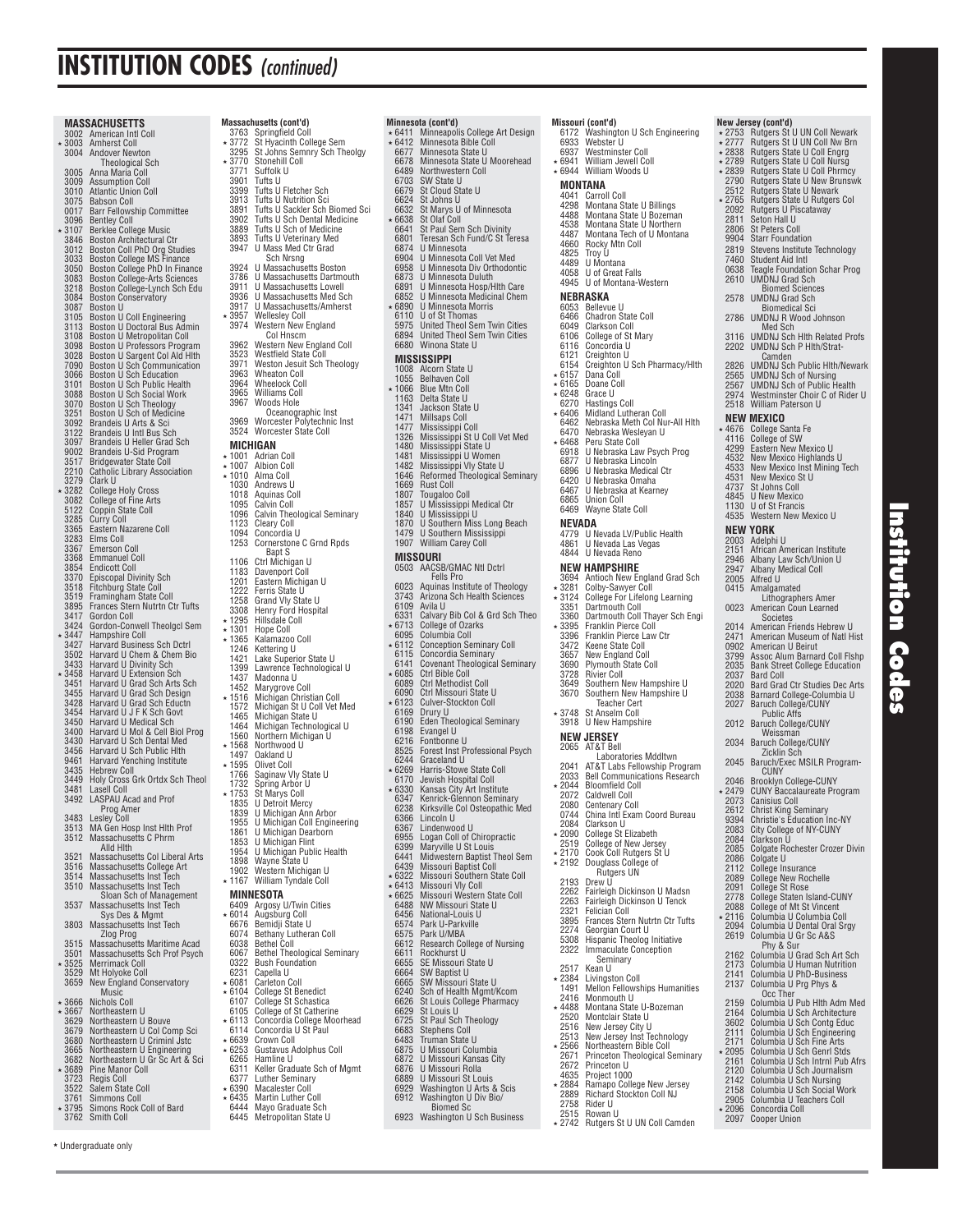|         | 3002         | MASSACHUSETTS<br>American Intl Coll                                                                                                                                                                            |
|---------|--------------|----------------------------------------------------------------------------------------------------------------------------------------------------------------------------------------------------------------|
|         | 3003         | <b>Amherst Coll</b>                                                                                                                                                                                            |
|         | 3004         | <b>Andover Newton</b>                                                                                                                                                                                          |
|         | 3005         | Theological Sch<br>Anna Maria Coll                                                                                                                                                                             |
|         | 3009         |                                                                                                                                                                                                                |
|         | 3010<br>3075 | Assumption Coll<br>Atlantic Union Coll<br>Babson Coll                                                                                                                                                          |
|         | 0017         | <b>Barr Fellowship Committee</b>                                                                                                                                                                               |
|         | 3096<br>3107 | <b>Bentley Coll</b><br>Berklee College Music                                                                                                                                                                   |
|         | 3846         | Boston Architectural Ctr                                                                                                                                                                                       |
|         | 3012<br>3033 | Boston Coll PhD Org Studies<br>Boston College MS Finance                                                                                                                                                       |
|         | 3050         | Boston College PhD In Finance                                                                                                                                                                                  |
|         | 3083<br>3218 | <b>Boston College-Arts Sciences</b><br>Boston College-Lynch Sch Edu                                                                                                                                            |
|         | 3084         | <b>Boston Conservatory</b>                                                                                                                                                                                     |
|         | 3087<br>3105 | <b>Boston U</b>                                                                                                                                                                                                |
|         | 3113         | Boston U Coll Engineering<br>Boston U Doctoral Bus Admin<br>Boston U Metropolitan Coll<br>Boston U Professors Program<br>Boston U Sargent Col Ald Hith<br>Boston U Sch Communication<br>Boston U Sch Education |
|         | 3108<br>3098 |                                                                                                                                                                                                                |
|         | 3028         |                                                                                                                                                                                                                |
|         | 7090         |                                                                                                                                                                                                                |
|         |              | 3066   Boston U Sch Education<br>3101   Boston U Sch Public Health                                                                                                                                             |
|         | 3088         | Boston U Sch Social Work                                                                                                                                                                                       |
|         | 3251         | 3070 Boston U Sch Theology<br>Boston U Sch of Medicine                                                                                                                                                         |
|         | 3092         | Brandeis U Arts & Sci                                                                                                                                                                                          |
|         | 3122<br>3097 | Brandeis U Intl Bus Sch<br>Brandeis U Heller Grad Sch                                                                                                                                                          |
|         | 9002         | <b>Brandeis U-Sid Program</b>                                                                                                                                                                                  |
|         | 3517<br>2210 | Bridgewater State Coll<br>atholic Library Association'<br>C                                                                                                                                                    |
|         | 3279<br>3282 | Clark U                                                                                                                                                                                                        |
|         | 3082         | <b>College Holy Cross</b><br><b>College of Fine Arts</b>                                                                                                                                                       |
|         | 5122         | Coppin State Coll                                                                                                                                                                                              |
|         | 3285<br>3365 | <b>Curry Coll</b><br>Eastern Nazarene Coll                                                                                                                                                                     |
|         | 3283         | Elms Coll                                                                                                                                                                                                      |
|         | 3367<br>3368 | <b>Emerson Coll</b><br><b>Emmanuel Coll</b>                                                                                                                                                                    |
|         | 3854         | <b>Endicott Coll</b>                                                                                                                                                                                           |
|         | 3370         | <b>Episcopal Divinity Sch</b><br>Fitchburg State Coll                                                                                                                                                          |
|         | 3518<br>3519 | Framingham State Coll                                                                                                                                                                                          |
|         | 3895<br>3417 | Frances Stern Nutrtn Ctr Tufts<br>Gordon Coll                                                                                                                                                                  |
|         | 3424<br>3447 | Gordon-Conwell Theolgcl Sem                                                                                                                                                                                    |
|         |              | Hampshire Coll                                                                                                                                                                                                 |
|         | 3427<br>3502 | Harvard Business Sch Dctrl<br>Harvard U Chem & Chem Bio                                                                                                                                                        |
| *       | 3433<br>3458 | Harvard U Divinity Sch<br>Harvard U Extension Sch                                                                                                                                                              |
|         | 3451         | Harvard U Grad Sch Arts Sch                                                                                                                                                                                    |
|         | 3455<br>3428 | Harvard U Grad Sch Design                                                                                                                                                                                      |
|         | 3454         | Harvard U Grad Sch Eductn<br>Harvard U J F K Sch Govt                                                                                                                                                          |
|         | 3450<br>3400 | Harvard U Medical Sch                                                                                                                                                                                          |
|         | 3430         | Harvard U Mol & Cell Biol Prog<br>Harvard U Sch Dental Med                                                                                                                                                     |
|         | 3456<br>9461 | Harvard U Sch Public Hlth<br>Harvard Yenching Institute                                                                                                                                                        |
|         | 3435         | Hebrew Coll                                                                                                                                                                                                    |
|         | 3449         | Holy Cross Grk Ortdx Sch Theol                                                                                                                                                                                 |
|         | 3481<br>3492 | Lasell Coll<br>LASPAU Acad and Prof                                                                                                                                                                            |
|         |              | Prog Amer                                                                                                                                                                                                      |
|         | 3483<br>3513 | Lesley Con<br>MA Gen Hosp Inst Hith Prof                                                                                                                                                                       |
|         | 3512         | Massachusetts C Phrm<br>Alld Hith                                                                                                                                                                              |
|         | 3521         | Massachusetts Col Liberal Arts                                                                                                                                                                                 |
|         | 3516<br>3514 | Massachusetts College Art                                                                                                                                                                                      |
|         | 3510         | Massachusetts Inst Tech<br>Massachusetts Inst Tech                                                                                                                                                             |
|         | 3537         | Sloan Sch of Management                                                                                                                                                                                        |
|         |              | Massachusetts Inst Tech<br>Sys Des & Mgmt                                                                                                                                                                      |
|         | 3803         | Massachusetts Inst Tech                                                                                                                                                                                        |
|         | 3515         | Zlog Prog<br>Massachusetts Maritime Acad                                                                                                                                                                       |
|         | 3501         | Massachusetts Sch Prof Psych<br><b>Merrimack Coll</b>                                                                                                                                                          |
| *       | 3525<br>3529 | Mt Holyoke Coll                                                                                                                                                                                                |
|         | 3659         | New England Conservatory                                                                                                                                                                                       |
|         | ∗ 3666       | Music<br><b>Nichols Coll</b>                                                                                                                                                                                   |
|         | * 3667       | Northeastern U                                                                                                                                                                                                 |
|         | 3629<br>3679 | Northeastern U Bouve<br>Northeastern U Col Comp Sci                                                                                                                                                            |
|         | 3680         | <b>Northeastern U Crimini Jschm</b><br><b>Northeastern U Engineering</b><br><b>Northeastern U Gr Sc Art &amp; Sci<br/>Pine Manor Coll</b>                                                                      |
|         | 3665         |                                                                                                                                                                                                                |
| *       | 3682<br>3689 |                                                                                                                                                                                                                |
|         | 3723<br>3522 | <b>Regis Coll</b><br>Salem State Coll                                                                                                                                                                          |
|         | 3761         | Simmons Coll                                                                                                                                                                                                   |
| $\star$ | 3795<br>3762 | Simons Rock Coll of Bard<br>Smith Coll                                                                                                                                                                         |

|                  | <b>Massachusetts (cont'd)</b>                                                                     |
|------------------|---------------------------------------------------------------------------------------------------|
| 3763<br>3772     | Springfield Coll<br>St Hyacinth College Sem                                                       |
| 3295             | St Jóhns Semnry Sch<br>Theolgy                                                                    |
| 3770<br>3771     | Stonehill Coll<br>Suffolk U                                                                       |
| 3901             | Tufts U                                                                                           |
| 3399<br>3913     | Tufts U Fletcher Sch<br><b>Tufts U Nutrition Sci</b>                                              |
| 3891             | Tufts U Sackler Sch Biomed Sci                                                                    |
| 3902<br>3889     | Tufts U Sch Dental Medicine<br>Tufts U Sch of Medicine                                            |
| 3893             | Tufts U Veterinary Med                                                                            |
| 3947             | U Mass Med Ctr Grad<br>Sch Nrsng                                                                  |
| 3924             | <b>U Massachusetts Boston</b>                                                                     |
| 3786<br>3911     | U Massachusetts Dartmouth<br>U Massachusetts Lowell                                               |
| 3936             | U Massachusetts Med Sch                                                                           |
| 3917<br>3957     | U Massachusetts/Amherst<br><b>Wellesley Coll</b>                                                  |
| 3974             | Western New England                                                                               |
| 3962             | Col Hnscm<br>Western New England Coll                                                             |
| 3523             | Westfield State Coll                                                                              |
| 3971             | Weston Jesuit Sch Theology                                                                        |
| 3963<br>3964     | <b>Wheaton Coll</b><br><b>Wheelock Coll</b>                                                       |
| 3965<br>3967     | Williams Coll<br>Woods Hole                                                                       |
|                  | Oceanographic Inst                                                                                |
| 3969             | Worcester Polytechnic Inst<br>Worcester State Coll                                                |
| 3524<br>MICHIGAN |                                                                                                   |
| 1001             | <b>Adrian Coll</b>                                                                                |
| ∗ 1007<br>1010   | Albion Coll<br>Alma Coll                                                                          |
| 1030             | Andrews U                                                                                         |
| 1018<br>1095     | Aquinas Coll<br>Calvin Coll                                                                       |
| 1096             | Calvin Theological Seminary                                                                       |
| 1123<br>1094     | <b>Cleary Coll</b><br>Concordia U                                                                 |
| 1253             | Cornerstone C Grnd Rpds                                                                           |
| 1106             | Bapt S<br>Ctrl Michigan U                                                                         |
| 1183<br>1201     | Davenport Coll<br>Eastern Michigan U                                                              |
| 1222             | Ferris State U<br>Grand Vly State U                                                               |
| 1258<br>3308     | Henry Ford Hospital                                                                               |
| 1295             | <b>Hillsdale Coll</b>                                                                             |
| ∗ 1301<br>1365   | Hope Coll<br>Kalamazoo Coll                                                                       |
| 1246             | Kettering U                                                                                       |
| 1421<br>1399     | Lake Superior State U<br>Lawrence Technological U                                                 |
| 1437             | Madonna U                                                                                         |
| 1452<br>1516     | Marygrove Coll<br>Michigan Christian Coll                                                         |
| 1572<br>1465     | Michigan St U Coll Vet Med<br>Michigan State U<br>Michigan Technological U<br>Northern Michigan U |
| 1464             |                                                                                                   |
| 1560<br>1568     | Northwood U                                                                                       |
| 1497             | Oakland U                                                                                         |
| 1595<br>1766     | Olivet Coll<br>Saginaw Vly State U                                                                |
| 1732             | Spring Arbor U                                                                                    |
| 1753<br>1835     | St Marys Coll<br><b>U</b> Detroit Mercy                                                           |
| 1839<br>1955     | U Michigan Ann<br>Arhor<br>U Michigan Coll Engineering                                            |
| 1861             | U Michigan Dearborn                                                                               |
| 1853<br>1954     | U Michigan Flint                                                                                  |
| 1898             | U Michigan Public Health<br>Wayne State U                                                         |
| 1902<br>1167     | Western Michigan U<br>William Tyndale Coll                                                        |
|                  | MINNESOTA                                                                                         |
| 6409             | Argosy U/Twin Cities                                                                              |
| 6014<br>6676     | Augsburg Coll<br>Bemidji State U                                                                  |
| 6074<br>6038     | Bethany Lutheran Coll<br>Bethel Coll                                                              |
| 6067             | <b>Bethel Theological Seminary</b>                                                                |
| 0322<br>6231     | <b>Bush Foundation</b><br>Capella U                                                               |
| 6081             | <b>Carleton Coll</b>                                                                              |
| ∗ 6104<br>6107   | <b>College St Benedict</b>                                                                        |
| 6105             | College St Schastica<br>College of St Catherine                                                   |
| ∗ 6113<br>6114   | Concordia College Moorhead<br>Concordia U St Paul                                                 |
| ∗ 6639           | Crown Coll                                                                                        |
| ∗ 6253<br>6265   | Gustavus Adolphus Coll<br>Hamline U                                                               |
| 6311             | Keller Graduate Sch of Mgmt                                                                       |
| 6377<br>* 6390   | Luther Seminary<br>Macalester Coll                                                                |

 $\star$  6390 Macalester Coll<br> $\star$  6435 Martin Luther C **Martin Luther Coll** 6444 Mayo Graduate Sch 6445 Metropolitan State U

|   | ∗ 6411                   | Minneapolis College Art Design                                                                                                                                                                                    |
|---|--------------------------|-------------------------------------------------------------------------------------------------------------------------------------------------------------------------------------------------------------------|
|   | * 6412<br>6677           | Minnesota Bible Coll<br>Minnesota State U<br>Minnesota State U Moorehead                                                                                                                                          |
|   | 6678<br>6489             | Northwestern Coll                                                                                                                                                                                                 |
|   | 6703<br>6679             | SW State U<br>St Cloud State U                                                                                                                                                                                    |
|   | 6624                     | St Johns U                                                                                                                                                                                                        |
|   | 6632<br>∗ 6638           | St Marys U of Minnesota<br>St Olaf Coll                                                                                                                                                                           |
|   | 6641                     | St Paul Sem Sch Divinity                                                                                                                                                                                          |
|   | 6801<br>6874             | Teresan Sch Fund/C St Teresa<br>U Minnesota                                                                                                                                                                       |
|   | 6904                     | U Minnesota Coll Vet Med                                                                                                                                                                                          |
|   | 6958<br>6873             |                                                                                                                                                                                                                   |
|   | 6891<br>6852             |                                                                                                                                                                                                                   |
|   | ∗ 6890                   | d Minnesota Div Orthodontic<br>U Minnesota Duluth<br>U Minnesota Duluth<br>U Minnesota Medicinal Chem<br>U Minnesota Morris<br>U Minnesota Morris<br>United Thool Sam Twin Cities<br>United Thool Sam Twin Cities |
|   | 6110<br>5975             | United Theol Sem Twin Cities                                                                                                                                                                                      |
|   | 6894                     | United Theol Sem Twin Cities                                                                                                                                                                                      |
|   | 6680                     | Winona State U                                                                                                                                                                                                    |
|   | 1008                     | MISSISSIPPI<br>Alcorn State U                                                                                                                                                                                     |
|   | 1055                     | <b>Belhaven Coll</b>                                                                                                                                                                                              |
| * | 1066                     | <b>Blue Mtn Coll</b><br>Delta State U                                                                                                                                                                             |
|   | 1163<br>1341             | Jackson State U<br>Millsaps Coll                                                                                                                                                                                  |
|   | 1471<br>1477             |                                                                                                                                                                                                                   |
|   | 1326<br>1480             | Mississippi Coll<br>Mississippi St U Coll Vet Med<br>Mississippi State U                                                                                                                                          |
|   | 1481                     | Mississippi U Women<br>Mississippi Vly State U                                                                                                                                                                    |
|   | 1482<br>1646             | Reformed Theological Seminary                                                                                                                                                                                     |
|   | 1669                     | <b>Rust Coll</b>                                                                                                                                                                                                  |
|   | 1807<br>1857             | <b>Tougaloo Coll</b><br>U Mississippi Medical Ctr                                                                                                                                                                 |
|   | 1840                     | U Mississippi U                                                                                                                                                                                                   |
|   | 1870<br>1479             | <b>U Southern Miss Long Beach</b><br><b>U Southern Mississippi</b>                                                                                                                                                |
|   | 1907                     | <b>William Carey Coll</b>                                                                                                                                                                                         |
|   | MISSOURI<br>0503         | AACSB/GMAC Ntl Dctrl                                                                                                                                                                                              |
|   |                          | <b>Fells Pro</b>                                                                                                                                                                                                  |
|   | 6023<br>3743             | Aquinas Institute of Theology<br>Arizona Sch Health Sciences                                                                                                                                                      |
|   | 6109                     | Avila U                                                                                                                                                                                                           |
|   | 6331<br>* 6713           | Calvary Bib Col & Grd Sch Theo<br>College of Ozarks                                                                                                                                                               |
|   | 6095<br>$*6112$          | Columbia Coll                                                                                                                                                                                                     |
|   |                          |                                                                                                                                                                                                                   |
|   | 6115                     | <b>Conception Seminary Coll</b><br>Concordia Seminary                                                                                                                                                             |
|   | 6141                     | <b>Covenant Theological Seminary</b>                                                                                                                                                                              |
|   | $*6085$<br>6089          | Ctrl Bible Coll<br>Ctrl Methodist Coll                                                                                                                                                                            |
|   |                          | Ctrl Missouri State U<br>Culver-Stockton Coll                                                                                                                                                                     |
|   | $6090$<br>6123 *<br>6169 |                                                                                                                                                                                                                   |
|   | 6190<br>6198             | Drury U<br>Eden Theological Seminary<br>Evangel U                                                                                                                                                                 |
|   | 6216                     | Fontbonne U                                                                                                                                                                                                       |
|   | 8525<br>6244             | Forest Inst Professional Psych<br>Graceland U                                                                                                                                                                     |
|   | ∗ 6269<br>6170           | Harris-Stowe State Coll                                                                                                                                                                                           |
|   | ∗6330                    | Jewish Hospital Coll<br>Kansas City Art Institute                                                                                                                                                                 |
|   | 6347<br>6238             | Kenrick-Glennon Seminary<br>Kirksville Col Osteopathic Med                                                                                                                                                        |
|   | 6366                     | Lincoln U                                                                                                                                                                                                         |
|   | 6955                     | od U<br>.inden<br>I٥<br>Logan Coll of Chiropractic                                                                                                                                                                |
|   | 6399                     | Maryville U St Louis                                                                                                                                                                                              |
|   | 6441<br>6439             | Midwestern Baptist Theol Sem<br>Missouri Baptist Coll                                                                                                                                                             |
|   | * 6322                   |                                                                                                                                                                                                                   |
|   | $*6413$<br>∗ 6625        | Missouri Southern State Coll<br>Missouri Vly Coll<br>Missouri Western State Coll                                                                                                                                  |
|   | 6488<br>6456             | NW Missouri State U<br>National-Louis U                                                                                                                                                                           |
|   | 6574                     | Park U-Parkville                                                                                                                                                                                                  |
|   | 6575<br>6612             | Park U/MBA<br><b>Research College of Nursing</b>                                                                                                                                                                  |
|   | 6611                     | Rockhurst U                                                                                                                                                                                                       |
|   | 6655<br>6664             | SE Missouri State U                                                                                                                                                                                               |
|   | 6665<br>6240             |                                                                                                                                                                                                                   |
|   | 6626                     | SW Baptist U<br>SW Missouri State U<br>Sch of Health Mgmt/Kcom                                                                                                                                                    |
|   | 6629<br>6725             | St Louis College Pharmacy<br>St Louis U<br>St Paul Sch Theology                                                                                                                                                   |
|   | 6683                     | Stephens Coll                                                                                                                                                                                                     |
|   | 6483<br>6875             | Truman State U<br>U Missouri Columbia                                                                                                                                                                             |
|   | 6872<br>6876             | U Missouri Kansas City<br>U Missouri Rolla                                                                                                                                                                        |
|   | 6889                     | U Missouri St Louis                                                                                                                                                                                               |
|   | 6929<br>6912             | Washington U Arts & Scis<br>Washington U Div Bio/<br><b>Biomed Sc</b>                                                                                                                                             |

**Minnesota (cont'd)**

**Misso**<br>617

2672 Princeton U<br>4635 Project 1000 4635 Project 1000<br>2884 Ramapo Colle

2758 Rider U 2515 Rowan U

2884 Ramapo College New Jersey<br>2889 Richard Stockton Coll NJ<br>2758 Rider U<br>2515 Rowan U **Richard Stockton Coll NJ** 

2742 Rutgers St U UN Coll Camden

|                | Missouri (cont'd)                                                 |              | New Jersey (cont'd)                                                     |
|----------------|-------------------------------------------------------------------|--------------|-------------------------------------------------------------------------|
|                | 6172 Washington U Sch Engineering                                 |              | ★ 2753 Rutgers St U UN Coll Newark                                      |
| 6933           | Webster U<br>6937 Westminster Coll                                |              | ★ 2777 Rutgers St U UN Coll Nw Brn<br>★ 2838 Rutgers State U Coll Engrg |
|                | * 6941 William Jewell Coll                                        |              |                                                                         |
|                | * 6944 William Woods U                                            |              | ★ 2789 Rutgers State U Coll Nursg<br>★ 2839 Rutgers State U Coll Phrmcy |
|                | MONTANA                                                           | 2790         | Rutgers State U New Brunswk                                             |
|                | 4041 Carroll Coll                                                 | 2512         | Rutgers State U Newark                                                  |
|                | 4298 Montana State U Billings                                     | $*2765$      | Rutgers State U Rutgers Col                                             |
|                | 4488 Montana State U Bozeman                                      | 2092<br>2811 | Rutgers U Piscataway<br>Seton Hall U                                    |
|                | 4538 Montana State U Northern                                     | 2806         | St Peters Coll                                                          |
| 4487           | Montana Tech of U Montana                                         | 9904         | <b>Starr Foundation</b>                                                 |
|                | 4660 Rocky Mtn Coll                                               | 2819         | Stevens Institute Technology                                            |
| 4825<br>4489   | Troy U<br>U Montana                                               | 7460         | Student Aid Intl                                                        |
|                | 4058 U of Great Falls                                             | 0638         | <b>Teagle Foundation Schar Prog</b>                                     |
|                | 4945 U of Montana-Western                                         | 2610         | <b>UMDNJ Grad Sch</b>                                                   |
|                | NEBRASKA                                                          |              | <b>Biomed Sciences</b>                                                  |
|                |                                                                   | 2578         | <b>UMDNJ Grad Sch</b><br><b>Biomedical Sci</b>                          |
|                | 6053 Bellevue U<br>6466 Chadron State Coll                        | 2786         | <b>UMDNJ R Wood Johnson</b>                                             |
|                | 6049 Clarkson Coll                                                |              | Med Sch                                                                 |
|                | 6106 College of St Mary                                           | 3116         | <b>UMDNJ Sch Hith Related Profs</b>                                     |
| 6121           | 6116 Concordia U                                                  | 2202         | <b>UMDNJ Sch P Hith/Strat-</b>                                          |
| 6154           | Creighton U<br>Creighton U Sch Pharmacy/Hith                      | 2826         | Camden<br><b>UMDNJ Sch Public HIth/Newar</b>                            |
| ∗6157          | Dana Coll                                                         | 2565         | <b>UMDNJ Sch of Nursing</b>                                             |
| $*6165$        | Doane Coll                                                        | 2567         | <b>UMDNJ Sch of Public Health</b>                                       |
|                | * 6248 Grace U                                                    | 2974         | Westminster Choir C of Rider L                                          |
|                | 6270 Hastings Coll                                                |              | 2518 William Paterson U                                                 |
|                | ★ 6406 Midland Lutheran Coll                                      |              | NEW MEXICO                                                              |
|                | 6462 Nebraska Meth Col Nur-All Hith<br>6470 Nebraska Wesleyan U   |              | ★ 4676 College Santa Fe                                                 |
|                | ★ 6468 Peru State Coll                                            |              | 4116 College of SW                                                      |
| 6918           | U Nebraska Law Psych Prog                                         |              | 4299 Eastern New Mexico U                                               |
| 6877<br>6896   | U Nebraska Lincoln                                                | 4532         | New Mexico Highlands U                                                  |
|                | U Nebraska Medical Ctr                                            | 4533<br>4531 | New Mexico Inst Mining Tech<br>New Mexico St U                          |
| 6420           | U Nebraska Omaha                                                  | 4737         | St Johns Coll                                                           |
| 6467<br>6865   | U Nebraska at Kearney<br><b>Union Coll</b>                        |              | 4845 U New Mexico                                                       |
|                | 6469 Wayne State Coll                                             |              | 1130 U of St Francis                                                    |
|                |                                                                   |              | 4535 Western New Mexico U                                               |
| NEVADA         | 4779 U Nevada LV/Public Health                                    |              | NEW YORK                                                                |
|                | 4861 U Nevada Las Vegas                                           | 2003         | Adelphi U                                                               |
|                | 4844 U Nevada Reno                                                | 2151         | African American Institute                                              |
|                | NEW HAMPSHIRE                                                     | 2946         | Albany Law Sch/Union U                                                  |
|                | 3694 Antioch New England Grad Sch                                 | 2947<br>2005 | Albany Medical Coll<br>Alfred U                                         |
|                | * 3281 Colby-Sawyer Coll                                          |              | 0415 Amalgamated                                                        |
|                | * 3124 College For Lifelong Learning                              |              | Lithographers Amer                                                      |
| 3351           | Dartmouth Coll                                                    | 0023         | American Coun Learned                                                   |
| ∗ 3395         | 3360 Dartmouth Coll Thayer Sch Engi                               |              | Societes                                                                |
| 3396           | <b>Franklin Pierce Coll</b><br>Franklin Pierce Law Ctr            | 2014<br>2471 | American Friends Hebrew U<br>American Museum of Natl Hist               |
| 3472           | Keene State Coll                                                  | 0902         | American U Beirut                                                       |
| 3657           | New England Coll                                                  | 3799         | Assoc Alum Barnard Coll Fishp                                           |
|                | 3690 Plymouth State Coll                                          | 2035         | Bank Street College Education                                           |
| 3728           | <b>Rivier Coll</b>                                                | 2037         | <b>Bard Coll</b>                                                        |
|                | 3649 Southern New Hampshire U<br>3670 Southern New Hampshire U    | 2020<br>2038 | Bard Grad Ctr Studies Dec Arts                                          |
|                | Teacher Cert                                                      | 2027         | Barnard College-Columbia U<br>Baruch College/CUNY                       |
| * 3748         | St Anselm Coll                                                    |              | <b>Public Affs</b>                                                      |
|                | 3918 U New Hampshire                                              | 2012         | <b>Baruch College/CUNY</b>                                              |
|                | NEW JERSEY                                                        |              | Weissman                                                                |
|                | 2065 AT&T Bell                                                    | 2034         | <b>Baruch College/CUNY</b>                                              |
|                | Laboratories Mddltwn                                              | 2045         | Zicklin Sch<br>Baruch/Exec MSILR Program-                               |
| 2041           | AT&T Labs Fellowship Program<br>2033 Bell Communications Research |              | CUNY                                                                    |
|                | * 2044 Bloomfield Coll                                            | 2046         | <b>Brooklyn College-CUNY</b>                                            |
|                | 2072 Caldwell Coll                                                | ∗ 2479       | <b>CUNY Baccalaureate Program</b>                                       |
|                | 2080 Centenary Coll                                               | 2073<br>2612 | <b>Canisius Coll</b>                                                    |
| 0744           | China Inti Exam Coord Bureau                                      | 9394         | <b>Christ King Seminary</b><br>Christie's Education Inc-NY              |
|                | 2084 Clarkson U                                                   | 2083         | City College of NY-CUNY                                                 |
|                | ★ 2090 College St Elizabeth<br>2519 College of New Jersey         | 2084         | Clarkson U                                                              |
| * 2170         | Cook Coll Rutgers St U                                            | 2085         | Colgate Rochester Crozer Divin                                          |
| ∗ 2192         | Douglass College of                                               | 2086         | Colgate U                                                               |
|                | Rutgers UN                                                        | 2112<br>2089 | College Insurance                                                       |
| 2193           | Drew U                                                            | 2091         | <b>College New Rochelle</b><br>College St Rose                          |
| 2262<br>2263   | Fairleigh Dickinson U Madsn<br>Fairleigh Dickinson U Tenck        | 2778         | College Staten Island-CUNY                                              |
| 2321           | Felician Coll                                                     | 2088         | <b>College of Mt St Vincent</b>                                         |
| 3895           | Frances Stern Nutrtn Ctr Tufts                                    | ∗ 2116       | Columbia U Columbia Coll                                                |
| 2274           | Georgian Court U                                                  | 2094         | Columbia U Dental Oral Srgy                                             |
|                | 5308 Hispanic Theolog Initiative                                  | 2619         | Columbia U Gr Sc A&S<br>Phy & Sur                                       |
|                | 2322 Immaculate Conception                                        | 2162         | Columbia U Grad Sch Art Sch                                             |
| 2517           | Seminary                                                          | 2173         | Columbia U Human Nutrition                                              |
| ∗ 2384         | Kean U<br>Livingston Coll                                         | 2141         | Columbia U PhD-Business                                                 |
| 1491           | <b>Mellon Fellowships Humanities</b>                              | 2137         | Columbia U Prg Phys &                                                   |
| 2416           | Monmouth U                                                        |              | Occ Ther                                                                |
| ∗ 4488         | Montana State U-Bozeman                                           | 2159<br>2164 | Columbia U Pub Hith Adm Med<br>Columbia U Sch Architecture              |
| 2520           | Montclair State U                                                 | 3602         | Columbia U Sch Contg Educ                                               |
| 2516           | New Jersey City U                                                 | 2111         | Columbia U Sch Engineering                                              |
| 2513<br>∗ 2566 | New Jersey Inst Technology<br>Northeastern Bible Coll             | 2171         | Columbia U Sch Fine Arts                                                |
|                | 2671 Princeton Theological Seminary                               | $\star 2095$ | Columbia U Sch Genrl Stds                                               |

### 2765 Rutgers State U Rutgers Col 2092 Rutgers U Piscataway Seton Hall II 2806 St Peters Coll 9904 Starr Foundation 2819 Stevens Institute Technology 7460 Student Aid Intl 0638 Teagle Foundation Schar Prog 2610 UMDNJ Grad Sch Biomed Sciences 2578 UMDNJ Grad Sch Biomedical Sci 2786 UMDNJ R Wood Johnson Med Sch 3116 UMDNJ Sch Hlth Related Profs 2202 UMDNJ Sch P Hlth/Strat-Camden 2826 UMDNJ Sch Public Hlth/Newark 2565 UMDNJ Sch of Nursing 2567 UMDNJ Sch of Public Health 2974 Westminster Choir C of Rider U William Paterson U  **NEW MEXICO**  4676 College Santa Fe 4116 College of SW 4299 Eastern New Mexico U 4532 New Mexico Highlands U 4533 New Mexico Inst Mining Tech 4531 New Mexico St U St Johns Coll 4845 U New Mexico U of St Francis Western New Mexico U  **NEW YORK**  2003 Adelphi U 2151 African American Institute 2946 Albany Law Sch/Union U 2947 Albany Medical Coll 2005 Alfred U 0415 Amalgamated Lithographers Amer 0023 American Coun Learned Societes 2014 American Friends Hebrew U 2471 American Museum of Natl Hist 0902 American U Beirut 3799 Assoc Alum Barnard Coll Flshp 2035 Bank Street College Education 2037 Bard Coll 2020 Bard Grad Ctr Studies Dec Arts 2038 Barnard College-Columbia U 2027 Baruch College/CUNY Public Affs 2012 Baruch College/CUNY **Weissman** Baruch College/CUNY Zicklin Sch<br>2045 Baruch/Exec MSILR Program-CUNY 2046 Brooklyn College-CUNY 2479 CUNY Baccalaureate Program 2073 Canisius Coll 2612 Christ King Seminary 9394 Christie's Education Inc-NY 2083 City College of NY-CUNY 2084 Clarkson U 2085 Colgate Rochester Crozer Divin 2086 Colgate U 2112 College Insurance 2089 College New Rochelle<br>2091 College St Rose<br>2778 College Staten Island-CUNY<br>2088 College of Mt St Vincent<br>\* 2116 Columbia U Columbia Coll<br>2094 Columbia U Dental Oral Srgy 2619 Columbia U Gr Sc A&S Phy & Sur 2162 Columbia U Grad Sch Art Sch 2173 Columbia U Human Nutrition 2141 Columbia U PhD-Business 2137 Columbia U Prg Phys & Occ Ther 2159 Columbia U Pub Hlth Adm Med 2164 Columbia U Sch Architecture<br>
3602 Columbia U Sch Contg Educ<br>
2111 Columbia U Sch Engineering<br>
2171 Columbia U Sch Fine Arts<br>
\* 2095 Columbia U Sch Genrl Stds 2161 Columbia U Sch Intrnl Pub Afrs<br>2120 Columbia U Sch Journalism<br>2142 Columbia U Sch Nursing 2120 Columbia U Sch Journalism 2142 Columbia U Sch Nursing 2158 Columbia U Sch Social Work 2905 Columbia U Teachers Coll 2096 Concordia Coll<br>2097 Cooper Union **Cooper Union**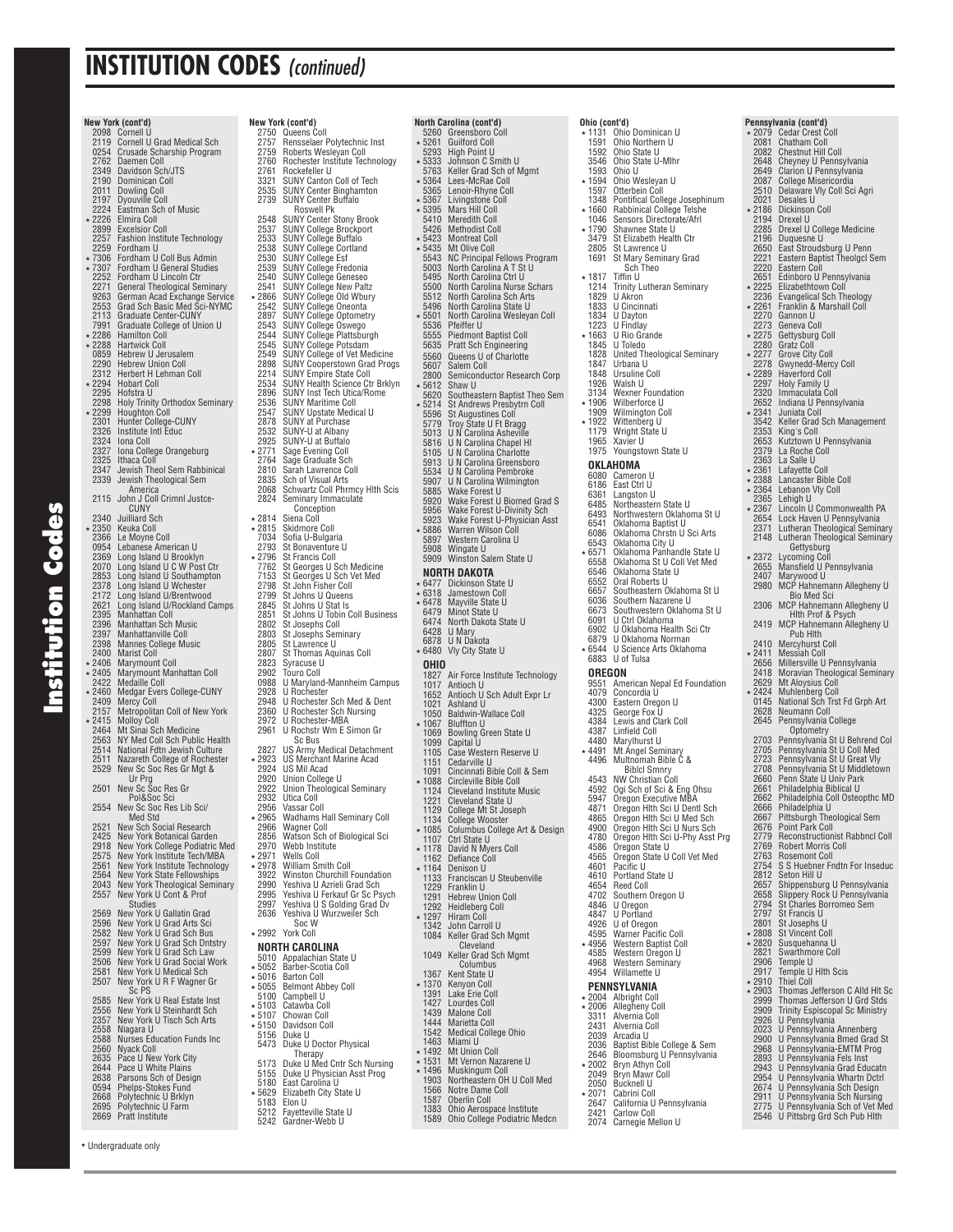d **Institution Codes** nstitution Cod

**New York (cont'd)**

 2098 Cornell U 2119 Cornell U Grad Medical Sch 0254 Crusade Scharship Program 2762 Daemen Coll 2349 Davidson Sch/JTS 2190 Dominican Coll 2349 Davidson Sch<br>2190 Dominican Coll<br>2011 Dowling Coll<br>2197 Dyouville Col 2197 Dyouville Coll 2224 Eastman Sch of Music \* 2226 Elmira Coll<br>2899 Excelsion C

2899 Excelsior Coll 2257 Fashion Institute Technology

 2259 Fordham U 7306 Fordham U Coll Bus Admin 7307 Fordham U General Studies 2252 Fordham U Lincoln Ctr<br>2271 General Theological Semi 2271 General Theological Seminary 9263 German Acad Exchange Service 2553 Grad Sch Basic Med Sci-NYMC 2113 Graduate Center-CUNY 7991 Graduate College of Union U \* 2286 Hamilton Coll<br>\* 2288 Hartwick Coll 2288 Hartwick Coll<br>0859 Hebrew U Jer 0859 Hebrew U Jerusalem<br>2290 Hebrew Union Coll 2290 Hebrew Union Coll 2312 Herbert H Lehman Coll × 2294 Hobart Coll<br>2295 Hofstra U<br>2298 Holy Trinity 2295 Hofstra U 2298 Holy Trinity Orthodox Seminary 2299 Houghton Coll 2301 Hunter College-CUNY 2326 Institute Intl Educ 2324 Iona Coll<br>2327 Iona Colle 2327 Iona College Orangeburg<br>2325 Ithaca Coll 2325 Ithaca Coll 2347 Jewish Theol Sem Rabbinical 2339 Jewish Theological Sem America 2115 John J Coll Crimnl Justce-CUNY 2340 Juilliard Sch 2350 Keuka Coll 2366 Le Moyne Coll 0954 Lebanese American U 2369 Long Island U Brooklyn 2000 Long Island U C W Post Ctr<br>2070 Long Island U C W Post Ctr 2853 Long Island U Southampton<br>2378 Long Island U Wchester<br>2172 Long Island U/Rockland Camps<br>2621 Long Island U/Rockland Camps<br>2395 Manhattan Coll<br>Music 2397 Manhattanville Coll 2398 Mannes College Music 2400 Marist Coll 2406 Marymount Coll 2405 Marymount Manhattan Coll 2422 Medaille Coll 2460 Medgar Evers College-CUNY 2409 Mercy Coll 2157 Metropolitan Coll of New York 2415 Molloy Coll 2464 Mt Sinai Sch Medicine 2563 NY Med Coll Sch Public Health 2514 National Fdtn Jewish Culture 2511 Nazareth College of Rochester 2529 New Sc Soc Res Gr Mgt & Ur Prg<br>
2501 New Sc Soc Res Gr<br>
Pol&Soc Sci<br>
2554 New Sc Soc Res Lib Sci/<br>
Med Std<br>
2521 New Sch Social Research 2425 New York Botanical Garden 2918 New York College Podiatric Med 2575 New York Institute Tech/MBA 2561 New York Institute Technology 2564 New York State Fellowships 2043 New York Theological Seminary<br>2557 New York U Cont & Prof New York U Cont & Prof Studies 2569 New York U Gallatin Grad 2596 New York U Grad Arts Sci 2582 New York U Grad Sch Bus 2597 New York U Grad Sch Dntstry<br>2599 New York U Grad Sch Law 2599 New York U Grad Sch Law 2506 New York U Grad Social Work 2581 New York U Medical Sch 2507 New York U R F Wagner Gr Sc PS 2585 New York U Real Estate Inst 2556 New York U Steinhardt Sch 2357 New York U Tisch Sch Arts 2558 Niagara U 2588 Nurses Education Funds Inc 2560 Nyack Coll 2635 Pace U New York City 2644 Pace U White Plains 2638 Parsons Sch of Design 0594 Phelps-Stokes Fund 2668 Polytechnic U Brklyn 2695 Polytechnic U Farm 2669 Pratt Institute

**New York (cont'd)** 2750 Queens Coll 2757 Rensselaer Polytechnic Inst 2759 Roberts Wesleyan Coll 2760 Rochester Institute Technology 2761 Rockefeller U<br>
2321 SUNY Canton Coll of Tech<br>
2739 SUNY Center Binghamton<br>
2739 SUNY Center Buffalo<br>
Roswell Pk<br>
2548 SUNY Center Stony Brook 2537 SUNY College Brockport<br>2533 SUNY College Buffalo<br>2538 SUNY College Esf<br>2539 SUNY College Esf<br>2539 SUNY College Fredonia 2540 SUNY College Geneseo 2541 SUNY College New Paltz 2866 SUNY College Old Wbury 2542 SUNY College Oneonta<br>2897 SUNY College Optomet 2897 SUNY College Optometry 2543 SUNY College Oswego 2544 SUNY College Plattsburgh 2545 SUNY College Potsdam 2549 SUNY College of Vet Medicine 2898 SUNY Cooperstown Grad Progs 2214 SUNY Empire State Coll 2214 SUNT Empire State Contract 2534 SUNY Health Science Ctr Brklyn<br>2896 SUNY Inst Tech Utica/Rome 2896 SUNY Inst Tech Utica/Rome 2536 SUNY Maritime Coll 2547 SUNY Upstate Medical U 2878 SUNY at Purchase 2532 SUNY -U at Albany 2925 SUNY-U at Buffalo<br>2771 Sage Evening Coll 2771 Sage Evening Coll 2764 Sage Graduate Sch 2810 Sarah Lawrence Coll<br>2835 Sch of Visual Arts 2835 Sch of Visual Arts 2068 Schwartz Coll Phrmcy Hlth Scis 2824 Seminary Immaculate Conception 2814 Siena Coll 2815 Skidmore Coll 7034 Sofi a U-Bulgaria 2793 St Bonaventure U 2796 St Francis Coll 7762 St Georges U Sch Medicine 7153 St Georges U Sch Vet Med 2798 St John Fisher Coll 2799 St Johns U Queens 2845 St Johns U Stat Is<br>2851 St Johns U Tobin 2851 St Johns U Tobin Coll Business 2802 St Josephs Coll 2803 St Josephs Seminary<br>2805 St Lawrence U<br>2807 St Thomas Aquinas C 2805 St Lawrence U 2807 St Thomas Aquinas Coll 2823 Syracuse U 2902 Touro Coll 0988 U Maryland-Mannheim Campus 2928 U Rochester 2948 U Rochester Sch Med & Dent 2360 U Rochester Sch Nursing<br>2360 U Rochester-MRA 2972 U Rochester-MBA<br>2961 U Rochstr Wm E S 2961 U Rochstr Wm E Simon Gr Sc Bus 2827 US Army Medical Detachment 2923 US Merchant Marine Acad 2924 US Mil Acad 2920 Union College U 2922 Union Theological Seminary 2932 Utica Coll 2956 Vassar Coll 2965 Wadhams Hall Seminary Coll<br>2966 Wagner Coll 2966 Wagner Coll 2856 Watson Sch of Biological Sci 2970 Webb Institute<br>★2971 Wells Coll \* 2971 Wells Coll<br>\* 2978 William Smith Coll<br>| 3922 Winston Churchill Foundation<br>| 2990 Yeshiva U Azrieli Grad Sch 2995 Yeshiva U Ferkauf Gr Sc Psych 2997 Yeshiva U S Golding Grad Dv 2636 Yeshiva U Wurzweiler Sch Soc W \* 2992 York Coll **NORTH CAROLINA**<br>5010 Appalachian Sta<br>5052 Barber-Scotia O 5010 Appalachian State U 5052 Barber-Scotia Coll 5016 Barton Coll 5055 Belmont Abbey Coll 5100 Campbell U 5103 Catawba Coll 5107 Chowan Coll \* 5150 Davidson Coll 5156 Duke U 5473 Duke U Doctor Physical Therapy 5173 Duke U Med Cntr Sch Nursing 5155 Duke U Physician Asst Prog 5180 East Carolina U 5629 Elizabeth City State U<br>5183 Flon II 5183 Elon U<br>5212 Fayette<br>5242 Gardne **North Carolina (cont'd)**

5212 Fayetteville State U 5242 Gardner-Webb U

 5260 Greensboro Coll 5261 Guilford Coll 5293 High Point U 5333 Johnson C Smith U 5763 Keller Grad Sch of Mgmt 5364 Lees-McRae Coll 5365 Lenoir-Rhyne Coll 5367 Livingstone Coll 5395 Mars Hill Coll \* 5395 Mars Hill Coll<br>5410 Meredith Coll<br>5426 Methodist Col 5426 Methodist Coll 5423 Montreat Coll 5435 Mt Olive Coll 5543 NC Principal Fellows Program 5003 North Carolina A T St U 5495 North Carolina Ctrl U<br>5500 North Carolina Nurse<br>5512 North Carolina Sch Ar 5500 North Carolina Nurse Schars 5512 North Carolina Sch Arts 5496 North Carolina State U 5501 North Carolina Wesleyan Coll<br>5536 Pfeiffer U 5536 Pfeiffer U 5555 Piedmont Baptist Coll 5635 Pratt Sch Engineering<br>5560 Oueens II of Charlotte 5560 Queens U of Charlotte 5607 Salem Coll 2800 Semiconductor Research Corp<br>5612 Shaw II 5612 Shaw U 5620 Southeastern Baptist Theo Sem 5214 St Andrews Presbytrn Coll 5596 St Augustines Coll 5779 Troy State U Ft Bragg 5013 U N Carolina Asheville 5816 U N Carolina Chapel Hl 5105 U N Carolina Charlotte 5913 U N Carolina Greensboro 5534 U N Carolina Pembroke 5907 U N Carolina Wilmington 5885 Wake Forest U 5920 Wake Forest U Biomed Grad S 5956 Wake Forest U-Divinity Sch 5923 Wake Forest U-Physician Asst 5886 Warren Wilson Coll 5897 Western Carolina U 5908 Wingate U 5909 Winston Salem State U  **NORTH DAKOTA**  6477 Dickinson State U 6318 Jamestown Coll 6478 Mayville State U 6479 Minot State U<br>6474 North Dakota 6474 North Dakota State U 6428 U Mary 6878 U N Dakota 6480 Vly City State U **OHIO**<br>1827<br>1017<br>1652 Air Force Institute Technology 1017 Antioch U 1652 Antioch U Sch Adult Expr Lr 1021 Ashland U<br>1050 Baldwin-W<br>\* 1067 Bluffton U 1050 Baldwin-Wallace Coll 1067 Bluffton U 1069 Bowling Green State U 1099 Capital U 1105 Case Western Reserve U 1151 Cedarville U<br>1091 Cincinnati Bil 1091 Cincinnati Bible Coll & Sem<br>\* 1088 Circleville Bible Coll 1088 Circleville Bible Coll 1124 Cleveland Institute Music 1221 Cleveland State U 1129 College Mt St Joseph 1134 College Wooster 1085 Columbus College Art & Design 1107 Ctrl State U ∗ 1178 David N Myers Coll<br>1162 Defiance Coll 1164 Denison U 1133 Franciscan U Steubenville 1229 Franklin U<br>1291 Hehrew Un 1223 Transmit of<br>1291 Hebrew Union Coll 1292 Heidleberg Coll<br>+ 1297 Hiram Coll 1297 Hiram Coll<br>1342 John Carro 1342 John Carroll U 1084 Keller Grad Sch Mgmt Cleveland 1049 Keller Grad Sch Mgmt Columbus 1367 Kent State U \* 1370 Kenyon Coll<br>1391 Lake Erie Co 1391 Lake Erie Coll<br>1427 Lourdes Coll 1427 Lourdes Coll<br>1439 Malone Coll 1439 Malone Coll<br>1444 Marietta Col 1444 Marietta Coll<br>1542 Medical Colle 1542 Medical College Ohio<br>1463 Miami II 1463 Miami U<br>1492 Mt Unior Mt Union Coll \* 1531 Mt Vernon Nazarene U<br>\* 1496 Muskingum Coll 1496 Muskingum Coll 1903 Northeastern OH U Coll Med 1903 Northeastern OF<br>1566 Notre Dame Coll<br>1587 Oberlin Coll 1587 Oberlin Coll 1383 Ohio Aerospace Institute

Ohio College Podiatric Medcn

**Ohio (cont'd)**<br> **\*** 1131 Ohio Dominican U<br>
1591 Ohio Northern U<br>
1592 Ohio State U<br>
3546 Ohio State U-Mlhr 1593 Ohio U 1594 Ohio Wesleyan U 1597 Otterbein Coll<br>1348 Pontifical Colle 1348 Pontifical College Josephinum<br>∗1660 Rabbinical College Telshe 1046 Sensors Directorate/Afrl<br>+ 1790 Shawnee State U 1790 Shawnee State U 3479 St Elizabeth Health Ctr 2805 St Lawrence U 1691 St Mary Seminary Grad Sch Theo \* 1817 Tiffin U<br>1214 Trinity Li<br>1829 U Akron 1214 Trinity Lutheran Seminary 1829 U Akron 1833 U Cincinnati<br>1833 U Cincinnati<br>1834 U Dayton 1834 U Dayton 1223 U Findlay<br>1663 U Rio Gra 1663 U Rio Grande 1845 U Toledo 1828 United Theological Seminary 1847 Urbana U<br>1848 Ursuline C 1848 Ursuline Coll<br>1926 Walsh U<br>3134 Wexner Found Walsh U 3134 Wexner Foundation 1906 Wilberforce U 1909 Wilmington Coll 1922 Wittenberg U 1179 Wright State U 1179 Wright Stat<br>1965 Xavier U<br>1975 Youngstow Youngstown State U **OKLAHOMA**<br>6080 Camero 6080 Cameron U<br>6186 East Ctrl U 6186 East Ctrl U<br>6361 Langston L 6361 Langston U 6485 Northeastern State U 6493 Northwestern Oklahoma St U 6541 Oklahoma Baptist U<br>6086 Oklahoma Chrstn U<br>6543 Oklahoma City U Oklahoma Chrstn U Sci Arts<br>Oklahoma City U 6543 Oklahoma City U 6571 Oklahoma Panhandle State U 6558 Oklahoma St U Coll Vet Med 6546 Oklahoma State U 6552 Oral Roberts U<br>6657 Southeastern Oklahoma St U<br>6636 Southern Nazarene U<br>6673 Southwestern Oklahoma St U<br>6901 U Ctrl Oklahoma<br>6902 U Oklahoma Health Sci Ctr 6879 U Oklahoma Norman U Science Arts Oklahoma 6883 U of Tulsa **OREGON**<br>9551 American Nepal Ed Foundation<br>4079 Concordia U<br>4300 Eastern Oregon U<br>4325 George Fox U 4384 Lewis and Clark Coll<br>4387 Linfield Coll<br>4480 Marylhurst U<br>4491 Mt Angel Seminary 4496 Multnomah Bible C & Biblcl Smnry<br>4543 NW Christian Coll<br>4592 Ogi Sch of Sci & Eng Ohsu 5947 Oregon Executive MBA 4871 Oregon Hlth Sci U Dentl Sch 4865 Oregon Hlth Sci U Med Sch 4900 Oregon Hith Sci U Nurs Sch<br>4780 Oregon Hith Sci U-Phy Asst Prg<br>4586 Oregon State U<br>4565 Oregon State U Coll Vet Med<br>4601 Pacific U<br>4610 Portland State U 4654 Reed Coll 4702 Southern Oregon U 4846 U Oregon 4847 U Portland<br>4926 U of Oregon<br>4595 Warner Pacific Coll 4956 Western Baptist Coll 4585 Western Oregon U 4968 Western Seminary 4954 Willamette U  **PENNSYLVANIA**  2004 Albright Coll 2006 Allegheny Coll 3311 Alvernia Coll 2431 Alvernia Coll<br>2431 Alvernia Coll<br>2039 Arcadia U 2039 Arcadia U<br>2036 Bantist Bil 2036 Baptist Bible College & Sem<br>2646 Bloomsburg II Pennsylvania 2646 Bloomsburg U Pennsylvania 2002 Bryn Athyn Coll 2049 Bryn Mawr Coll 2050 Bucknell U 2071 Cabrini Coll

 2647 California U Pennsylvania 2421 Carlow Coll 2074 Carnegie Mellon U

### 2079 Cedar Crest Coll 2081 Chatham Coll 2082 Chestnut Hill Coll 2648 Cheyney U Pennsylvania 2649 Clarion U Pennsylvania 2087 College Misericordia 2510 Delaware Vly Coll Sci Agri 2021 Desales U 2186 Dickinson Coll 2194 Drexel U 2285 Drexel U College Medicine 2196 Duquesne U 2650 East Stroudsburg U Penn 2221 Eastern Baptist Theolgcl Sem 2220 Eastern Coll 2651 Edinboro U Pennsylvania<br>2225 Elizabethtown Coll<br>2236 Evangelical Sch Theology 2225 Elizabethtown Coll 2236 Evangelical Sch Theology 2261 Franklin & Marshall Coll 2270 Gannon U<br>2273 Geneva Co 2273 Geneva Coll<br>+2275 Gettysburg 2275 Gettysburg Coll 2280 Gratz Coll <del>2277</del> Grove City Coll<br>2278 Gwynedd-Merc<br>2289 Haverford Coll 2278 Gwynedd-Mercy Coll 2289 Haverford Coll 2297 Holy Family U<br>2320 Immaculata C<br>2652 Indiana U Pen 2320 Immaculata Coll 2652 Indiana U Pennsylvania 2341 Juniata Coll 3542 Keller Grad Sch Management 2353 King's Coll 2653 Kutztown U Pennsylvania 2379 La Roche Coll<br>2363 La Salle U 2363 La Salle U 2361 Lafayette Coll 2388 Lancaster Bible Coll 2364 Lebanon Vly Coll 2365 Lehigh U<br>2367 Lincoln U<br>2654 Lock Have 2367 Lincoln U Commonwealth PA 2654 Lock Haven U Pennsylvania 2371 Lutheran Theological Seminary 2148 Lutheran Theological Seminary Gettysburg 2372 Lycoming Coll 2655 Mansfi eld U Pennsylvania 2407 Marywood U 2980 MCP Hahnemann Allegheny U Bio Med Sci 2306 MCP Hahnemann Allegheny U Hlth Prof & Psych 2419 MCP Hahnemann Allegheny U Pub Hlth 2410 Mercyhurst Coll 2411 Messiah Coll 2656 Millersville U Pennsylvania 2418 Moravian Theological Seminary 2629 Mt Aloysius Coll 2424 Muhlenberg Coll 0145 National Sch Trst Fd Grph Art 2628 Neumann Coll<br>2645 Pennsylvania C 2645 Pennsylvania College Optometry 2703 Pennsylvania St U Behrend Col 2705 Pennsylvania St U Coll Med 2723 Pennsylvania St U Great Vly 2708 Pennsylvania St U Middletown 2660 Penn State U Univ Park 2661 Philadelphia Biblical U 2662 Philadelphia Coll Osteopthc MD 2666 Philadelphia U<br>2667 Pittsburgh The 2667 Pittsburgh Theological Sem 2676 Point Park Coll 2779 Reconstructionist Rabbncl Coll 2769 Robert Morris Coll 2763 Rosemont Coll 2754 S S Huebner Fndtn For Inseduc 2812 Seton Hill U 2657 Shippensburg U Pennsylvania<br>2658 Slippery Rock U Pennsylvania 2658 Slippery Rock U Pennsylvania 2794 St Charles Borromeo Sem 2797 St Francis U<br>2801 St Josephs L 2801 St Josephs U<br>2808 St Vincent Co \* 2808 St Vincent Coll<br>\* 2820 Susquebanna I 2820 Susquehanna U 2821 Swarthmore Coll 2906 Temple U 2917 Temple U Hlth Scis 2910 Thiel Coll 2903 Thomas Jefferson C Alld Hlt Sc 2999 Thomas Jefferson U Grd Stds 2909 Trinity Espiscopal Sc Ministry 2926 U Pennsylvania 2023 U Pennsylvania Annenberg 2900 U Pennsylvania Bmed Grad St 2968 U Pennsylvania-EMTM Prog 2893 U Pennsylvania Fels Inst 2943 U Pennsylvania Grad Educatn 2954 U Pennsylvania Whartn Dctrl 2674 U Pennsylvania Sch Design 2911 U Pennsylvania Sch Nursing 2775 U Pennsylvania Sch of Vet Med 2546 U Pittsbrg Grd Sch Pub Hlth

**Pennsylvania (cont'd)**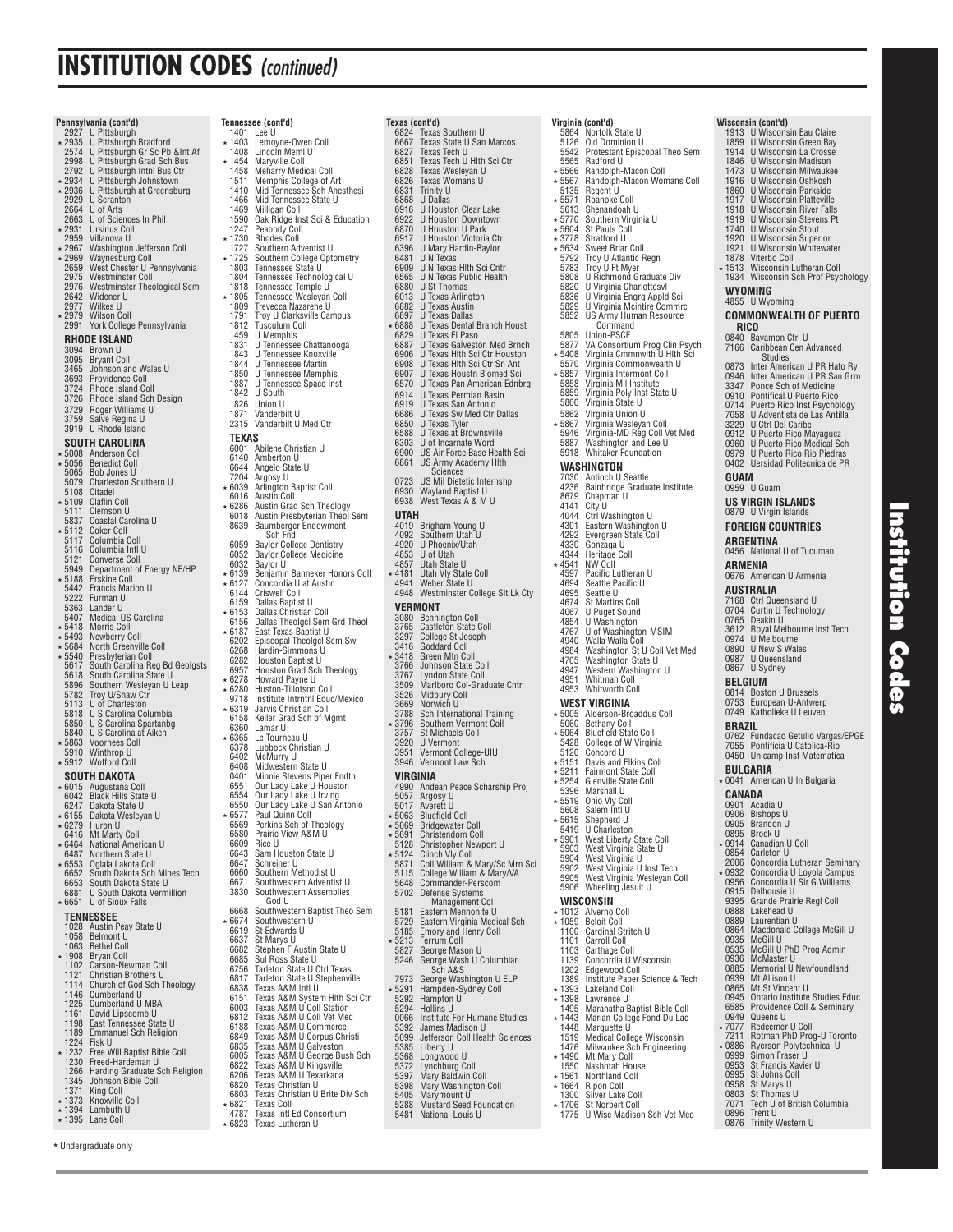**Pennsylvan** 

|        | <b>Pennsylvania (cont'd)</b><br>2927 U Pittsburgh Bradford<br>2574 U Pittsburgh Gr Sc Pb ∬ Af<br>2998 U Pittsburgh Gr Sc Pb ∬ Af<br>2792 U Pittsburgh Intnl Bus Ctr<br>2934 U Pittsburgh Johnstown<br>2036 U Bittsburgh Johnstown | Tennessee (cont'd)                                                                                                                                         |
|--------|-----------------------------------------------------------------------------------------------------------------------------------------------------------------------------------------------------------------------------------|------------------------------------------------------------------------------------------------------------------------------------------------------------|
|        |                                                                                                                                                                                                                                   | 1401 Lee U                                                                                                                                                 |
|        |                                                                                                                                                                                                                                   | ∗ 1403<br>Lemoyne-Owen Coll                                                                                                                                |
|        |                                                                                                                                                                                                                                   | 1408 Lincoln Meml U                                                                                                                                        |
|        |                                                                                                                                                                                                                                   | * 1454 Maryville Coll                                                                                                                                      |
|        |                                                                                                                                                                                                                                   | 1458 Meharry Medical Coll                                                                                                                                  |
|        |                                                                                                                                                                                                                                   | 1511<br>Memphis College of Art                                                                                                                             |
|        |                                                                                                                                                                                                                                   | 1410<br>Mid Tennessee Sch Anesthesi                                                                                                                        |
|        | ★ 2936 U Pittsburgh at Greensburg<br>2929 U Scranton                                                                                                                                                                              | Mid Tennessee State U<br>1466                                                                                                                              |
|        | 2664 U of Arts                                                                                                                                                                                                                    | 1469 Milligan Coll                                                                                                                                         |
|        | 2663 U of Sciences In Phil                                                                                                                                                                                                        | 1590<br>Oak Ridge Inst Sci & Educatio                                                                                                                      |
|        |                                                                                                                                                                                                                                   | 1247<br>Peabody Coll                                                                                                                                       |
|        | ★ 2931 Ursinus Coll<br>2959 Villanova U                                                                                                                                                                                           | ★ 1730 Rhodes Coll                                                                                                                                         |
|        | 2339 vinaliova d<br>2967 Washington Jefferson Coll<br>2969 Waynesburg Coll<br>2975 West Chester U Pennsylvania<br>2975 Westminster Coll<br>2976 Westminster Theological Sem<br>2042 Wildener U<br>2047 Willener U                 |                                                                                                                                                            |
|        |                                                                                                                                                                                                                                   | 1727<br>Southern Adventist U                                                                                                                               |
|        |                                                                                                                                                                                                                                   | * 1725 Southern College Optometry                                                                                                                          |
|        |                                                                                                                                                                                                                                   | 1803<br>Tennessee State U<br>1803<br>1804                                                                                                                  |
|        |                                                                                                                                                                                                                                   | Tennessee Technological U                                                                                                                                  |
|        |                                                                                                                                                                                                                                   | 1818<br>Tennessee Temple U                                                                                                                                 |
|        |                                                                                                                                                                                                                                   | ∗ 1805<br>Tennessee Wesleyan Coll                                                                                                                          |
|        | 2977 Wilkes U<br>*2979 Wilson Coll                                                                                                                                                                                                | 1809 Trevecca Nazarene U                                                                                                                                   |
|        |                                                                                                                                                                                                                                   | 1791<br>Troy U Clarksville Campus                                                                                                                          |
|        | 2991 York College Pennsylvania                                                                                                                                                                                                    | 1812<br>Tusculum Coll                                                                                                                                      |
|        | RHODE ISLAND                                                                                                                                                                                                                      | 1459<br>U Memphis                                                                                                                                          |
|        |                                                                                                                                                                                                                                   | 1831<br>U Tennessee Chattanooga                                                                                                                            |
|        | 3094 Brown U                                                                                                                                                                                                                      | 1843 U Tennessee Knoxville                                                                                                                                 |
|        | 3095 Bryant Coll<br>3465 Johnson and Wales U                                                                                                                                                                                      | 1844 U Tennessee Martin                                                                                                                                    |
|        |                                                                                                                                                                                                                                   | 1850<br><b>U Tennessee Memphis</b>                                                                                                                         |
|        | 3693 Providence Coll<br>3724 Rhode Island Coll<br>3726 Rhode Island Sch Design                                                                                                                                                    | U Tennessee Space Inst<br>1887                                                                                                                             |
|        |                                                                                                                                                                                                                                   | 1842<br>U South                                                                                                                                            |
|        |                                                                                                                                                                                                                                   | 1826<br>Union U                                                                                                                                            |
|        | 3729 Roger Williams U                                                                                                                                                                                                             | 1871<br>Vanderbilt U                                                                                                                                       |
|        | 3759 Salve Regina U                                                                                                                                                                                                               | 2315 Vanderbilt U Med Ctr                                                                                                                                  |
|        | 3919 U Rhode Island                                                                                                                                                                                                               |                                                                                                                                                            |
|        |                                                                                                                                                                                                                                   | TEXAS                                                                                                                                                      |
|        | SOUTH CAROLINA                                                                                                                                                                                                                    | 6001 Abilene Christian U                                                                                                                                   |
|        | ★ 5008 Anderson Coll                                                                                                                                                                                                              | 6140 Amberton U                                                                                                                                            |
|        |                                                                                                                                                                                                                                   |                                                                                                                                                            |
|        |                                                                                                                                                                                                                                   | 6644 Angelo State U<br>7204 Argosy U                                                                                                                       |
|        |                                                                                                                                                                                                                                   |                                                                                                                                                            |
|        |                                                                                                                                                                                                                                   |                                                                                                                                                            |
|        | * 5006 Anderson Cont<br>* 5056 Benedict Coll<br>5065 Bob Jones U<br>5079 Charleston Southern U<br>* 5108 Citatle Coll<br>5108 Cattin Coll<br>5837 Coastal Carolina U<br>5837 Coastal Carolina U                                   | F2039 Arlington Baptist Coll<br>6039 Arlington Baptist Coll<br>6016 Austin Coll<br>6018 Austin Presbyterian Theology<br>6018 Austin Presbyterian Theol Sen |
|        |                                                                                                                                                                                                                                   |                                                                                                                                                            |
|        |                                                                                                                                                                                                                                   |                                                                                                                                                            |
|        | ★ 5112 Coker Coll<br>5117 Columbia Coll                                                                                                                                                                                           | 8639 Baumberger Endowment                                                                                                                                  |
|        |                                                                                                                                                                                                                                   | Sch Fnd                                                                                                                                                    |
|        | 5116 Columbia Intl U                                                                                                                                                                                                              | 6059 Baylor College Dentistry                                                                                                                              |
|        | 5121 Converse Coll                                                                                                                                                                                                                | 6052 Baylor College Medicine                                                                                                                               |
|        | 5949 Department of Energy NE/HP                                                                                                                                                                                                   | 6032 Baylor U                                                                                                                                              |
|        | * 5188 Erskine Coll                                                                                                                                                                                                               | * 6139 Benjamin Banneker Honors Co                                                                                                                         |
|        |                                                                                                                                                                                                                                   | ∗ 6127<br>Concordia U at Austin                                                                                                                            |
|        | 5442 Francis Marion U<br>5222 Furman U                                                                                                                                                                                            | 6144 Criswell Coll                                                                                                                                         |
|        | 5363 Lander U                                                                                                                                                                                                                     | 6159 Dallas Baptist U                                                                                                                                      |
|        |                                                                                                                                                                                                                                   | ∗6153<br>6153 Dallas Christian Coll<br>6156 Dallas Theolgcl Sem Grd Theo                                                                                   |
|        |                                                                                                                                                                                                                                   |                                                                                                                                                            |
|        | 3407 Medical US Carolina<br>+ 5418 Morris Coll<br>+ 5493 Newberry Coll<br>+ 5684 North Greenville Coll                                                                                                                            | 6187 East Texas Baptist U<br>6202 Episcopal Theolgcl Sem Sw<br>6268 Hardin-Simmons U<br>∗6187                                                              |
|        |                                                                                                                                                                                                                                   |                                                                                                                                                            |
|        |                                                                                                                                                                                                                                   |                                                                                                                                                            |
|        | ★ 5540 Presbyterian Coll                                                                                                                                                                                                          | 6282 Houston Baptist U                                                                                                                                     |
|        | 5617 South Carolina Reg Bd Geolgsts                                                                                                                                                                                               | 6957<br>Houston Grad Sch Theology                                                                                                                          |
|        | 5618 South Carolina State U                                                                                                                                                                                                       | * 6278 Howard Payne U                                                                                                                                      |
|        | 5896 Southern Wesleyan U Leap                                                                                                                                                                                                     | * 6280 Huston-Tillotson Coll                                                                                                                               |
|        | 5782 Troy U/Shaw Ctr<br>5113 U of Charleston                                                                                                                                                                                      | 9718 Institute Intrntnl Educ/Mexico                                                                                                                        |
|        |                                                                                                                                                                                                                                   | ∗6319<br>Jarvis Christian Coll                                                                                                                             |
|        |                                                                                                                                                                                                                                   | 6158 Keller Grad Sch of Mgmt                                                                                                                               |
|        | 5818 U S Carolina Columbia<br>5850 U S Carolina Spartanbg                                                                                                                                                                         | 6360<br>Lamar U                                                                                                                                            |
|        | 5840 U S Carolina at Aiken                                                                                                                                                                                                        | $*6365$<br>Le Tourneau U                                                                                                                                   |
|        | * 5863 Voorhees Coll                                                                                                                                                                                                              | 6378                                                                                                                                                       |
|        | 5910 Winthrop U                                                                                                                                                                                                                   | Lubbock Christian U                                                                                                                                        |
|        | * 5912 Wofford Coll                                                                                                                                                                                                               | 6402<br>McMurry U                                                                                                                                          |
|        |                                                                                                                                                                                                                                   | 6408 Midwestern State U                                                                                                                                    |
|        | <b>SOUTH DAKOTA</b>                                                                                                                                                                                                               | 0401<br>Minnie Stevens Piper Fndtn                                                                                                                         |
|        | * 6015 Augustana Coll                                                                                                                                                                                                             | 6551<br>Our Lady Lake U Houston                                                                                                                            |
|        | 6042 Black Hills State U                                                                                                                                                                                                          | 6554 Our Lady Lake U Irving                                                                                                                                |
|        | 6247 Dakota State U                                                                                                                                                                                                               | 6550 Our Lady Lake U San Antonio                                                                                                                           |
| ∗ 6155 | Dakota Wesleyan U                                                                                                                                                                                                                 | ∗ 6577<br>Paul Quinn Coll                                                                                                                                  |
|        | ∗ 6279 Huron U                                                                                                                                                                                                                    | 6569 Perkins Sch of Theology                                                                                                                               |
|        | 6416 Mt Marty Coll                                                                                                                                                                                                                | 6580 Prairie View A&M U                                                                                                                                    |
|        | ★ 6464 National American U                                                                                                                                                                                                        | 6609 Rice U                                                                                                                                                |
|        | 6487 Northern State U                                                                                                                                                                                                             | 6643<br>Sam Houston State U                                                                                                                                |
|        | ★ 6553 Oglala Lakota Coll                                                                                                                                                                                                         | 6647<br>Schreiner U                                                                                                                                        |
|        |                                                                                                                                                                                                                                   | 6660 Southern Methodist U                                                                                                                                  |
|        |                                                                                                                                                                                                                                   | 6671<br>Southwestern Adventist U                                                                                                                           |
|        | 6652 South Dakota Sch Mines Tech<br>6653 South Dakota State U<br>6881 U South Dakota Vermillion                                                                                                                                   | 3830 Southwestern Assemblies                                                                                                                               |
|        | * 6651 U of Sioux Falls                                                                                                                                                                                                           | God U                                                                                                                                                      |
|        | <b>TENNESSEE</b>                                                                                                                                                                                                                  | 6668<br>Southwestern Baptist Theo Se                                                                                                                       |
|        |                                                                                                                                                                                                                                   | $*6674$<br>Southwestern U                                                                                                                                  |
|        | 1028 Austin Peay State U                                                                                                                                                                                                          | 6619 St Edwards U                                                                                                                                          |
|        | 1058 Belmont U                                                                                                                                                                                                                    | 6637<br>St Marys U                                                                                                                                         |
|        | 1063 Bethel Coll                                                                                                                                                                                                                  | 6682 Stephen F Austin State U                                                                                                                              |
|        | ∗ 1908 Bryan Coll                                                                                                                                                                                                                 | Sul Ross State U<br>6685                                                                                                                                   |
|        | 1102 Carson-Newman Coll                                                                                                                                                                                                           | 6756 Tarleton State U Ctrl Texas                                                                                                                           |
|        | 1121 Christian Brothers U                                                                                                                                                                                                         | 6817<br>Tarleton State U Stephenville                                                                                                                      |
|        | 1114 Church of God Sch Theology                                                                                                                                                                                                   | 6838 Texas A&M Intl U                                                                                                                                      |
|        | 1146 Cumberland U                                                                                                                                                                                                                 | 6151<br>Texas A&M System Hith Sci C                                                                                                                        |
|        | 1225 Cumberland U MBA                                                                                                                                                                                                             | 6003 Texas A&M U Coll Station                                                                                                                              |
|        | 1161 David Lipscomb U                                                                                                                                                                                                             | 6812<br>Texas A&M U Coll Vet Med                                                                                                                           |
|        | 1198 East Tennessee State U                                                                                                                                                                                                       | Texas A&M U Commerce<br>6188                                                                                                                               |
|        | 1189 Emmanuel Sch Religion<br>1224 Fisk U                                                                                                                                                                                         | 6849 Texas A&M U Corpus Christi                                                                                                                            |
|        |                                                                                                                                                                                                                                   | Texas A&M U Galveston<br>6835                                                                                                                              |
|        | ★ 1232 Free Will Baptist Bible Coll                                                                                                                                                                                               | 6005 Texas A&M U George Bush Sc                                                                                                                            |
|        | 1230 Freed-Hardeman U                                                                                                                                                                                                             |                                                                                                                                                            |
|        | 1266 Harding Graduate Sch Religion                                                                                                                                                                                                |                                                                                                                                                            |
|        | 1345 Johnson Bible Coll                                                                                                                                                                                                           |                                                                                                                                                            |
|        | 1371 King Coll                                                                                                                                                                                                                    | 6822 Texas A&M U Kingsville<br>6206 Texas A&M U Texarkana<br>6820 Texas Christian U<br>6803 Texas Christian U Brite Div Scl                                |
|        | ∗ 1373   Knoxville Coll                                                                                                                                                                                                           |                                                                                                                                                            |
|        | ∗ 1394 Lambuth U                                                                                                                                                                                                                  | ∗ 6821 Texas Coll                                                                                                                                          |
|        | ∗ 1395 Lane Coll                                                                                                                                                                                                                  | 4787 Texas Intl Ed Consortium<br>* 6823 Texas Lutheran II                                                                                                  |
|        |                                                                                                                                                                                                                                   |                                                                                                                                                            |

|                 | Tennessee (cont'd)                                      | Texas (cont'd) |                                                  |  |
|-----------------|---------------------------------------------------------|----------------|--------------------------------------------------|--|
| 1401            | Lee U                                                   | 6824           | <b>Texas Southern</b>                            |  |
| * 1403          | Lemoyne-Owen Coll                                       | 6667           | Texas State U S<br>Texas Tech U                  |  |
| 1408            | Lincoln Meml U                                          | 6827           |                                                  |  |
| * 1454<br>1458  | <b>Maryville Coll</b><br>Meharry Medical Coll           | 6851<br>6828   | Texas Tech U HI<br>Texas Wesleyan                |  |
| 1511            | Memphis College of Art                                  | 6826           | Texas Womans                                     |  |
| 1410            | Mid Tennessee Sch Anesthesi                             | 6831           | Trinity U                                        |  |
| 1466            | Mid Tennessee State U                                   | 6868           | <b>U</b> Dallas                                  |  |
| 1469            | Milligan Coll                                           | 6916           | <b>U Houston Clea</b>                            |  |
| 1590<br>1247    | Oak Ridge Inst Sci & Education<br>Peabody Coll          | 6922<br>6870   | <b>U Houston Dow</b><br>U Houston U Pa           |  |
| * 1730          | Rhodes Coll                                             | 6917           | <b>U Houston Victo</b>                           |  |
| 1727            | Southern Adventist U                                    | 6396           | U Mary Hardin-                                   |  |
| * 1725          | Southern College Optometry                              | 6481           | <b>U N Texas</b>                                 |  |
| 1803            | Tennessee State U<br>Tennessee Technological U          | 6909           | U N Texas Hith !<br>U N Texas Publi              |  |
| 1804<br>1818    | Tennessee Temple U                                      | 6565<br>6880   |                                                  |  |
| * 1805          | Tennessee Wesleyan Coll                                 | 6013           | U St Thomas<br>U Texas Arlingto                  |  |
| 1809            | Trevecca Nazarene U                                     | 6882           | U Texas Austin                                   |  |
| 1791            | Troy U Clarksville Campus                               | 6897           | U Texas Dallas                                   |  |
| 1812<br>1459    | <b>Tusculum Coll</b><br>U Memphis                       | ∗6888<br>6829  | U Texas Dental<br>U Texas El Paso                |  |
| 1831            | U Tennessee Chattanooga                                 | 6887           | U Texas Galvest                                  |  |
| 1843            | U Tennessee Knoxville                                   | 6906           | U Texas Hith Sc                                  |  |
| 1844            | <b>U</b> Tennessee Martin                               | 6908           | U Texas Hith Sc                                  |  |
| 1850            | <b>U</b> Tennessee Memphis                              | 6907           | <b>U Texas Houstn</b><br>U Texas Pan Am          |  |
| 1887            | U Tennessee Space Inst<br>1842 U South                  | 6570           |                                                  |  |
| 1826            | Union U                                                 | 6914<br>6919   | U Texas Permia<br>U Texas San An                 |  |
| 1871            | Vanderbilt U                                            | 6686           | U Texas Sw Mer                                   |  |
| 2315            | Vanderbilt U Med Ctr                                    | 6850           | U Texas Tyler                                    |  |
| TEXAS           |                                                         | 6588           | U Texas at Brow                                  |  |
|                 | 6001 Abilene Christian U                                | 6303<br>6900   | U of Incarnate V                                 |  |
| 6140            | Amberton U                                              | 6861           | US Air Force Ba<br>US Army Acade                 |  |
| 6644            | Angelo State U                                          |                | Sciences                                         |  |
| 7204<br>$*6039$ | Argosy U<br>Arlington Baptist Coll                      | 0723           | <b>US Mil Dietetic</b>                           |  |
| 6016            | <b>Austin Coll</b>                                      | 6930           | <b>Wayland Baptis</b>                            |  |
| $*6286$         | Austin Grad Sch Theology                                | 6938           | West Texas A &                                   |  |
| 6018            | Austin Presbyterian Theol Sem                           | UTAH           |                                                  |  |
|                 | 8639 Baumberger Endowment                               | 4019           | Brigham Young                                    |  |
| 6059            | Sch Fnd<br><b>Baylor College Dentistry</b>              | 4092<br>4920   | Southern Utah I<br>U Phoenix/Utah                |  |
| 6052            | <b>Baylor College Medicine</b>                          | 4853           | U of Utah                                        |  |
| 6032            | Baylor U                                                | 4857           | Utah State U                                     |  |
| $*6139$         | Benjamin Banneker Honors Coll                           | * 4181         | Utah Vly State 0                                 |  |
| * 6127<br>6144  | Concordia U at Austin<br><b>Criswell Coll</b>           | 4941<br>4948   | Weber State U<br>Westminster Co                  |  |
| 6159            | Dallas Baptist U                                        |                |                                                  |  |
| $*6153$         |                                                         |                | VERMONT                                          |  |
| 6156            | Dallas Christian Coll<br>Dallas Theolgcl Sem Grd Theol  | 3080<br>3765   | <b>Bennington Coll</b><br><b>Castleton State</b> |  |
| ∗ 6187          | East Texas Baptist U<br>Episcopal Theolgcl Sem Sw       | 3297           | College St Jose                                  |  |
| 6202<br>6268    | Hardin-Simmons U                                        | 3416           | Goddard Coll                                     |  |
| 6282            | Houston Baptist U                                       | * 3418         | Green Mtn Coll                                   |  |
| 6957            | <b>Houston Grad Sch Theology</b>                        | 3766<br>3767   | Johnson State (<br>Lyndon State Co               |  |
| ∗6278           | Howard Payne U                                          | 3509           | Marlboro Col-G                                   |  |
| ∗ 6280<br>9718  | Huston-Tillotson Coll<br>Institute Intrntnl Educ/Mexico | 3526           | Midbury Coll                                     |  |
| ∗6319           | Jarvis Christian Coll                                   | 3669           | Norwich U                                        |  |
| 6158            | Keller Grad Sch of Mgmt                                 | 3788<br>* 3796 | Sch Internation<br>Southern Vermo                |  |
| 6360            | Lamar U                                                 |                | St Michaels Col                                  |  |
| * 6365          | Le Tourneau U                                           | 3757<br>3920   | <b>U</b> Vermont                                 |  |
| 6378<br>6402    | Lubbock Christian U<br>McMurry U                        | 3951           | Vermont Colleg                                   |  |
| 6408            | Midwestern State U                                      | 3946           | Vermont Law S                                    |  |
| 0401            | Minnie Stevens Piper Fndtn                              | VIRGINIA       |                                                  |  |
| 6551            | Our Lady Lake U Houston                                 |                | 4990 Andean Peace S                              |  |
| 6554<br>6550    | Our Lady Lake U Irving<br>Our Lady Lake U San Antonio   | 5057<br>5017   | Argosy U<br>Averett U                            |  |
| $*$ 6577        | Paul Quinn Coll                                         | ∗ 5063         | <b>Bluefield Coll</b>                            |  |
| 6569            | Perkins Sch of Theology                                 | $*5069$        | Bridgewater Col                                  |  |
| 6580            | Prairie View A&M U                                      | $*5691$        | Christendom Co                                   |  |
| 6609<br>6643    | Rice U<br>Sam Houston State U                           | 5128           | <b>Christopher Nev</b>                           |  |
| 6647            | Schreiner U                                             | * 5124<br>5871 | Clinch Vly Coll<br>Coll William & M              |  |
| 6660            | Southern Methodist U                                    | 5115           | <b>College William</b>                           |  |
| 6671            | Southwestern Adventist U                                | 5648           | Commander-Pe                                     |  |
| 3830            | Southwestern Assemblies                                 | 5702           | Defense System                                   |  |
| 6668            | God U<br>Southwestern Baptist Theo Sem                  | 5181           | Management<br>Eastern Mennor                     |  |
| ∗ 6674          | Southwestern U                                          | 5729           | Eastern Virginia                                 |  |
| 6619            | St Edwards U                                            | 5185           | Emory and Hen                                    |  |
| 6637            | St Marys U                                              | $*5213$        | Ferrum Coll                                      |  |
| 6682            | Stephen F Austin State U<br>Sul Ross State U            | 5827           | George Mason I                                   |  |
| 6685<br>6756    | Tarleton State U Ctrl Texas                             | 5246           | George Wash U<br>Sch A&S                         |  |
| 6817            | Tarleton State U Stephenville                           | 7973           | George Washing                                   |  |
| 6838            | Texas A&M Intl U                                        | $*5291$        | Hampden-Sydn                                     |  |
| 6151<br>6003    | Texas A&M System Hith Sci Ctr                           | 5292           | Hampton U                                        |  |
| 6812            | Texas A&M U Coll Station<br>Texas A&M U Coll Vet Med    | 5294<br>0066   | Hollins U<br>Institute For Hu                    |  |
| 6188            | Texas A&M U Commerce                                    | 5392           | James Madison                                    |  |
| 6849            | Texas A&M U Corpus Christi                              | 5099           | Jefferson Coll H                                 |  |
| 6835            | Texas A&M U Galveston                                   | 5385           | Liberty U                                        |  |
| 6005            | Texas A&M U George Bush Sch                             | 5368           | Longwood U                                       |  |
| 6822<br>6206    | Texas A&M U Kingsville<br>Texas A&M U Texarkana         | 5372<br>5397   | Lynchburg Coll<br>Mary Baldwin C                 |  |
| 6820            | Texas Christian U                                       | 5398           | Mary Washingto                                   |  |
| 6803            | Texas Christian U Brite Div Sch                         | 5405           | Marymount U                                      |  |
| ∗ 6821          | <b>Texas Coll</b>                                       | 5288           | <b>Mustard Seed F</b>                            |  |
| 4787            | Texas Intl Ed Consortium<br>* 6823 Texas Lutheran U     | 5481           | National-Louis I                                 |  |
|                 |                                                         |                |                                                  |  |

| Texas (cont'd) |                 |                                                                                         |  |  |
|----------------|-----------------|-----------------------------------------------------------------------------------------|--|--|
|                | 6824<br>6667    | <b>Texas Southern U</b>                                                                 |  |  |
|                | 6827            | Texas State U San Marcos<br>Texas Tech U                                                |  |  |
|                | 6851<br>6828    | Texas Tech U Hith Sci Ctr<br>Texas Wesleyan U                                           |  |  |
|                | 6826            | <b>Texas Womans U</b>                                                                   |  |  |
|                | 6831<br>6868    | Trinity U<br><b>U</b> Dallas                                                            |  |  |
|                | 6916            | U Houston Clear Lake                                                                    |  |  |
|                | 6922            | <b>U Houston Downtown</b>                                                               |  |  |
|                | 6870<br>6917    | <b>U Houston U Park</b><br>U Houston Victoria Ctr                                       |  |  |
|                | 6396            |                                                                                         |  |  |
|                | 6481<br>6909    | U Mary Hardin-Baylor<br>U N Texas<br>U N Texas Hith Sci Cntr<br>U N Texas Public Health |  |  |
|                | 6565            |                                                                                         |  |  |
|                | 6880            | U St Thomas                                                                             |  |  |
|                | 6013<br>6882    | U Texas Arlington<br><b>U Texas Austin</b>                                              |  |  |
|                | 6897            | <b>U Texas Dallas</b>                                                                   |  |  |
|                | ∗6888<br>6829   | <b>U Texas Dental Branch Houst</b><br>U Texas El Paso                                   |  |  |
|                | 6887            | U Texas Galveston Med Brnch                                                             |  |  |
|                | 6906<br>6908    | U Texas Hlth Sci Ctr Houston<br>U Texas Hlth Sci Ctr Sn Ant                             |  |  |
|                | 6907            | U Texas Houstn Biomed Sci                                                               |  |  |
|                | 6570            | U Texas Pan American Ednbrg                                                             |  |  |
|                | 6914<br>6919    | U Texas Permian Basin<br>U Texas San Antonio                                            |  |  |
|                | 6686            | U Texas Sw Med Ctr Dallas                                                               |  |  |
|                | 6850<br>6588    | U Texas Tyler                                                                           |  |  |
|                | 6303            | U Texas at Brownsville<br>U of Incarnate Word                                           |  |  |
|                | 6900            | US Air Force Base Health Sci                                                            |  |  |
|                | 6861            | US Army Academy Hith<br>Sciences                                                        |  |  |
|                | 0723            | US Mil Dietetic Internshp                                                               |  |  |
|                | 6930            | Wayland Baptist U                                                                       |  |  |
|                | 6938            | West Texas A & M U                                                                      |  |  |
|                | UTAH<br>4019    | Brigham Young U                                                                         |  |  |
|                | 4092            | Southern Utah U                                                                         |  |  |
|                | 4920<br>4853    | U Phoenix/Utah<br>U of Utah                                                             |  |  |
|                | 4857            | Utah State U                                                                            |  |  |
|                | * 4181<br>4941  | Utah Vly State Coll<br>Weber State U                                                    |  |  |
|                | 4948            | Westminster College SIt Lk Cty                                                          |  |  |
|                |                 | VERMONT                                                                                 |  |  |
|                | 3080            | Bennington Coll                                                                         |  |  |
|                | 3765<br>3297    | <b>Castleton State Coll</b><br>College St Joseph                                        |  |  |
|                | 3416            | Goddard Coll                                                                            |  |  |
|                | 3418<br>3766    | Green Mtn Coll<br>Johnson State Coll                                                    |  |  |
|                | 3767            | Lyndon State Coll                                                                       |  |  |
|                | 3509<br>3526    | Marlboro Col-Graduate Cntr                                                              |  |  |
|                | 3669            | <b>Midbury Coll</b><br>Norwich U                                                        |  |  |
|                | 3788            | Sch International Training                                                              |  |  |
|                | 3796<br>3757    | Southern Vermont Coll<br>St Michaels Coll                                               |  |  |
|                | 3920            | <b>U</b> Vermont                                                                        |  |  |
|                | 3951<br>3946    | Vermont College-UIU<br>Vermont Law Sch                                                  |  |  |
|                | VIRGINIA        |                                                                                         |  |  |
|                | 4990            | Andean Peace Scharship Proj                                                             |  |  |
|                | 5057            | Argosy U                                                                                |  |  |
|                | 5017<br>$*5063$ | Averett U<br>Bluefield Coll                                                             |  |  |
|                | $*5069$         | <b>Bridgewater Coll</b>                                                                 |  |  |
|                | 5691<br>5128    | Christendom Coll<br>Christopher Newport U                                               |  |  |
|                | 5124            | Clinch Vly Coll                                                                         |  |  |
|                | 5871<br>5115    | Coll William & Mary/Sc Mrn Sci<br>College William & Mary/VA                             |  |  |
|                | 5648            | Commander-Perscom                                                                       |  |  |
|                | 5702            | Defense Systems                                                                         |  |  |
|                | 5181            | <b>Management Col</b><br>Eastern Mennonite U                                            |  |  |
|                | 5729            | Eastern Virginia Medical Sch                                                            |  |  |
|                | 5185<br>5213    | <b>Emory and Henry Coll</b><br>Ferrum Coll                                              |  |  |
|                | 5827            | George Mason U                                                                          |  |  |
|                | 5246            | George Wash U Columbian<br>Sch A&S                                                      |  |  |
|                | 7973            | George Washington U ELP                                                                 |  |  |
|                | 5291<br>5292    | Hampden-Sydney Coll<br>Hampton U                                                        |  |  |
|                | 5294            | Hollins U                                                                               |  |  |
|                | 0066            | Institute For Humane Studies                                                            |  |  |
|                | 5392<br>5099    | James Madison U<br>Jefferson Coll Health Sciences                                       |  |  |
|                | 5385            | Liberty U                                                                               |  |  |
|                | 5368<br>5372    | Longwood U<br>Lynchburg Coll                                                            |  |  |
|                | 5397            | Mary Baldwin Coll                                                                       |  |  |
|                | 5398<br>5405    | Mary Washington Coll<br>Marymount U                                                     |  |  |
|                | 5288            | <b>Mustard Seed Foundation</b>                                                          |  |  |
|                | 5481            | National-Louis U                                                                        |  |  |
|                |                 |                                                                                         |  |  |

|                  | Virginia (cont'd)<br>5864 Norfolk State U                                                      | Wisconsin (cont'd)<br>1913 U Wisconsin Eau Claire                          |
|------------------|------------------------------------------------------------------------------------------------|----------------------------------------------------------------------------|
|                  | 5126 Old Dominion U                                                                            | 1859 U Wisconsin Green Bay                                                 |
|                  | 5542 Protestant Episcopal Theo Sem<br>5565 Radford U                                           | 1914 U Wisconsin La Crosse<br><b>U Wisconsin Madison</b><br>1846           |
|                  | * 5566 Randolph-Macon Coll                                                                     | U Wisconsin Milwaukee<br>1473                                              |
| $\star 5567$     | Randolph-Macon Womans Coll                                                                     | U Wisconsin Oshkosh<br>1916<br>1860                                        |
| $*5571$          | 5135 Regent U<br>Roanoke Coll                                                                  | U Wisconsin Parkside<br>1917<br><b>U Wisconsin Platteville</b>             |
| 5613             | Shenandoah U                                                                                   | U Wisconsin River Falls<br>1918                                            |
| ∗ 5770<br>∗ 5604 | Southern Virginia U<br>St Pauls Coll                                                           | 1919 U Wisconsin Stevens Pt<br>1740 U Wisconsin Stout                      |
| ∗3778            | Stratford U                                                                                    | 1920 U Wisconsin Superior                                                  |
| * 5634<br>5792   | Sweet Briar Coll<br>Troy U Atlantic Regn                                                       | 1921<br>U Wisconsin Whitewater<br>1878<br>Viterbo Coll                     |
| 5783             | Troy U Ft Myer                                                                                 | $*1513$<br>Wisconsin Lutheran Coll                                         |
| 5808<br>5820     | U Richmond Graduate Div<br>U Virginia Charlottesvl                                             | 1934 Wisconsin Sch Prof Psycholog                                          |
| 5836             | U Virginia Engrg Appld Sci                                                                     | WYOMING<br>4855 U Wyoming                                                  |
| 5829<br>5852     | U Virginia Mcintire Commrc<br>US Army Human Resource                                           | COMMONWEALTH OF PUERTO                                                     |
|                  | Command                                                                                        | RICO                                                                       |
| 5805<br>5877     | Union-PSCE<br>VA Consortium Prog Clin Psych                                                    | 0840 Bayamon Ctrl U<br>7166 Caribbean Cen Advanced                         |
| ∗ 5408           | Virginia Cmmnwlth U Hith Sci                                                                   | Studies                                                                    |
| 5570<br>∗ 5857   | Virginia Commonwealth U<br>Virginia Intermont Coll                                             | 0873<br>Inter American U PR Hato Ry<br>0946<br>Inter American U PR San Grm |
| 5858             | Virginia Mil Institute                                                                         | 3347<br>Ponce Sch of Medicine                                              |
| 5859             | Virginia Poly Inst State U<br>5860 Virginia State U                                            | 0910 Pontifical U Puerto Rico<br>0714 Puerto Rico Inst Psychology          |
| 5862             | Virginia Union U                                                                               | 7058 U Adventista de Las Antilla                                           |
| ∗ 5867<br>5946   | Virginia Wesleyan Coll<br>Virginia-MD Reg Coll Vet Med                                         | 3229<br>U Ctrl Del Caribe<br>0912 U Puerto Rico Mayaguez                   |
| 5887             | Washington and Lee U                                                                           | 0960 U Puerto Rico Medical Sch                                             |
|                  | 5918 Whitaker Foundation                                                                       | 0979<br>U Puerto Rico Rio Piedras<br>0402 Uersidad Politecnica de PR       |
|                  | WASHINGTON<br>7030 Antioch U Seattle                                                           | GUAM                                                                       |
|                  | 4236 Bainbridge Graduate Institute                                                             | 0959 U Guam                                                                |
|                  | 8679 Chapman U<br>4141 City U                                                                  | US VIRGIN ISLANDS                                                          |
|                  | 4044 Ctrl Washington U                                                                         | 0879 U Virgin Islands                                                      |
|                  | 4301 Eastern Washington U<br>4292 Evergreen State Coll<br>4330 Gonzaga U<br>4344 Heritage Coll | <b>Foreign Countries</b>                                                   |
|                  |                                                                                                | ARGENTINA                                                                  |
|                  | * 4541 NW Coll                                                                                 | 0456 National U of Tucuman                                                 |
|                  | 4597 Pacific Lutheran U                                                                        | ARMENIA<br>0676 American U Armenia                                         |
|                  | 4694 Seattle Pacific U<br>4695 Seattle U                                                       | AUSTRALIA                                                                  |
|                  | 4674 St Martins Coll                                                                           | 7168 Ctrl Queensland U                                                     |
| 4067             | U Puget Sound<br>4854 U Washington                                                             | 0704 Curtin U Technology<br>0765 Deakin U                                  |
| 4767             | U of Washington-MSIM                                                                           | 3612 Royal Melbourne Inst Tech                                             |
|                  | 4940 Walla Walla Coll                                                                          | 0974 U Melbourne<br>0890<br>U New S Wales                                  |
|                  | 4984 Washington St U Coll Vet Med<br>4705 Washington State U                                   | 0987<br>U Queensland                                                       |
|                  | 4947 Western Washington U<br>4951 Whitman Coll                                                 | 0867 U Sydney                                                              |
|                  | 4953 Whitworth Coll                                                                            | <b>BELGIUM</b><br>0814 Boston U Brussels                                   |
|                  | WEST VIRGINIA                                                                                  | 0753<br>European U-Antwerp                                                 |
|                  | * 5005 Alderson-Broaddus Coll<br>5060 Bethany Coll                                             | 0749 Katholieke U Leuven<br>BRAZIL                                         |
|                  | ★ 5064 Bluefield State Coll                                                                    | 0762 Fundacao Getulio Vargas/EPGE                                          |
|                  | 5428 College of W Virginia<br>5120 Concord U                                                   | 7055 Pontificia U Catolica-Rio                                             |
|                  | *5151 Davis and Elkins Coll                                                                    | 0450 Unicamp Inst Matematica                                               |
|                  | * 5211 Fairmont State Coll<br>* 5254 Glenville State Coll                                      | BULGARIA<br>★ 0041 American U In Bulgaria                                  |
|                  | 5396 Marshall U                                                                                | CANADA                                                                     |
| ∗ 5519<br>5608   | Ohio Vly Coll<br>Salem Intl U                                                                  | 0901 Acadia U<br>0906                                                      |
| ∗ 5615           | Shepherd U                                                                                     | <b>Bishops U</b><br>0905<br>Brandon U                                      |
| 5419<br>* 5901   | U Charleston<br>West Liberty State Coll                                                        | 0895<br>Brock U                                                            |
| 5903             | West Virginia State U                                                                          | ∗ 0914<br>Canadian U Coll<br>0854<br>Carleton U                            |
|                  | 5904 West Virginia U<br>5902 West Virginia U Inst Tech                                         | 2606<br>Concordia Lutheran Seminary<br>Concordia U Loyola Campus           |
|                  | 5905 West Virginia Wesleyan Coll                                                               | ∗ 0932<br>0956<br>Concordia U Sir G Williams                               |
|                  | 5906 Wheeling Jesuit U                                                                         | 0915<br>Dalhousie U<br>9395                                                |
| ∗ 1012           | WISCONSIN<br>Alverno Coll                                                                      | Grande Prairie Regl Coll<br>0888 Lakehead U                                |
|                  | * 1059 Beloit Coll                                                                             | 0889 Laurentian U<br>0864<br>Macdonald College McGill U                    |
| 1101             | 1100 Cardinal Stritch U<br>Carroll Coll                                                        | 0935<br>McGill U                                                           |
| 1103             | <b>Carthage Coll</b>                                                                           | McGill U PhD Prog Admin<br>0535<br>0936<br>McMaster U                      |
|                  | 1139 Concordia U Wisconsin<br>1202 Edgewood Coll                                               | 0885<br>Memorial U Newfoundland                                            |
|                  | 1389 Institute Paper Science & Tech                                                            | 0939<br>Mt Allison U<br>Mt St Vincent U                                    |
|                  | ∗ 1393 Lakeland Coll<br>∗ 1398 Lawrence U                                                      | 0865<br>Ontario Institute Studies Educ<br>0945                             |
|                  | 1495 Maranatha Baptist Bible Coll                                                              | 6585<br>Providence Coll & Seminary<br>0949<br>Queens U                     |
|                  | ∗ 1443   Marian College Fond Du Lac<br>1448 Marquette U                                        | ∗ 7077<br>Redeemer U Coll                                                  |
|                  | 1519 Medical College Wisconsin                                                                 | 7211<br>Rotman PhD Prog-U Toronto<br>∗ 0886<br>Ryerson Polytechnical U     |
|                  | 1476 Milwaukee Sch Engineering<br>* 1490 Mt Mary Coll                                          | 0999<br>Simon Fraser U                                                     |
|                  | 1550 Nashotah House                                                                            | 0953<br>St Francis Xavier U<br>0995<br>St Johns Coll                       |
| ∗ 1561<br>∗ 1664 | Northland Coll<br>Ripon Coll                                                                   | 0958<br>St Marys U                                                         |
|                  | 1300 Silver Lake Coll                                                                          | St Thomas U<br>0803<br>7071<br>Tech U of British Columbia                  |
| ∗ 1706           | St Norbert Coll<br>1775 U Wisc Madison Sch Vet Med                                             | 0896 Trent U                                                               |

isin Sch Prof Psychology **EALTH OF PUERTO** an Cen Advanced **Institution Codes** Institution Codes  $\widetilde{\mathsf{M}}$ elbourne Inst Tech

### 0814 Boston U Brussels 0753 European U-Antwerp 0749 Katholieke U Leuven ao Getulio Vargas/EPGE 7055 Pontificia U Catolica-Rio<br>0450 Unicamp Inst Matematica an U In Bulgaria  $\mathsf{U}$  0906 Bishops U 0905 Brandon U 0895 Brock U J<br>an U Coll 0854 Carleton U 2606 Concordia Lutheran Seminary 0932 Concordia U Loyola Campus 0956 Concordia U Sir G Williams 0915 Dalhousie U sie o<br>! Prairie Regl Coll 0888 Lakehead U 0889 Laurentian U 0935 McGill U 0535 McGill U PhD Prog Admin  $ter 11$ son U 0865 Mt St Vincent U 0945 Ontario Institute Studies Educ 6585 Providence Coll & Seminary

0876 Trinity Western U